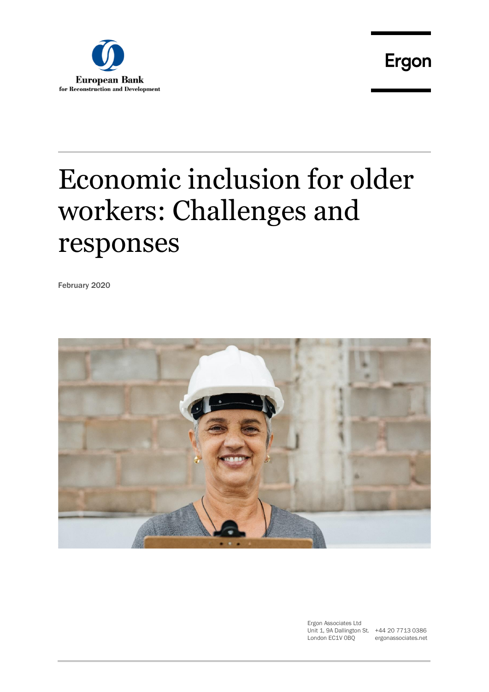

# Economic inclusion for older workers: Challenges and responses

February 2020



Ergon Associates Ltd Unit 1, 9A Dallington St. +44 20 7713 0386 London EC1V 0BQ

ergonassociates.net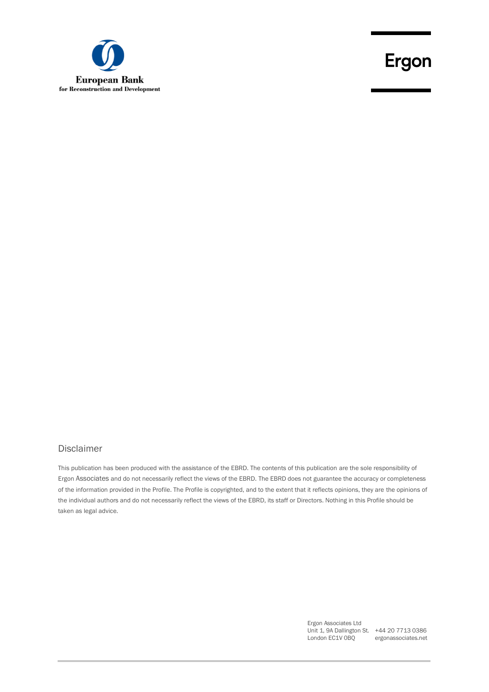

### Disclaimer

This publication has been produced with the assistance of the EBRD. The contents of this publication are the sole responsibility of Ergon Associates and do not necessarily reflect the views of the EBRD. The EBRD does not guarantee the accuracy or completeness of the information provided in the Profile. The Profile is copyrighted, and to the extent that it reflects opinions, they are the opinions of the individual authors and do not necessarily reflect the views of the EBRD, its staff or Directors. Nothing in this Profile should be taken as legal advice.

> Ergon Associates Ltd Unit 1, 9A Dallington St. +44 20 7713 0386 London EC1V 0BQ ergonassociates.net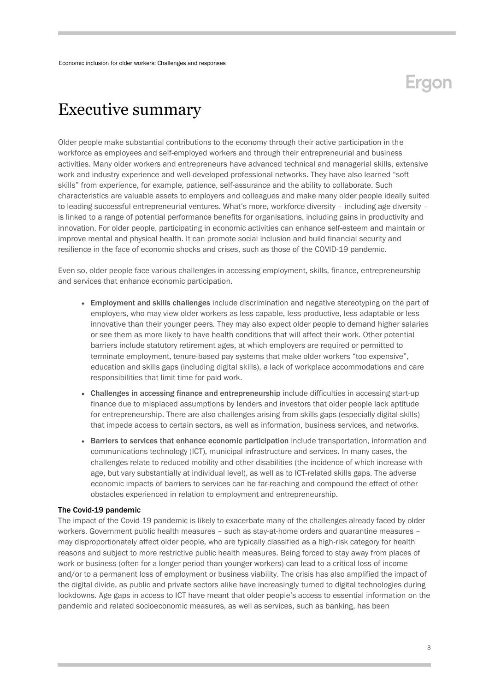### <span id="page-2-0"></span>Executive summary

Older people make substantial contributions to the economy through their active participation in the workforce as employees and self-employed workers and through their entrepreneurial and business activities. Many older workers and entrepreneurs have advanced technical and managerial skills, extensive work and industry experience and well-developed professional networks. They have also learned "soft skills" from experience, for example, patience, self-assurance and the ability to collaborate. Such characteristics are valuable assets to employers and colleagues and make many older people ideally suited to leading successful entrepreneurial ventures. What's more, workforce diversity – including age diversity – is linked to a range of potential performance benefits for organisations, including gains in productivity and innovation. For older people, participating in economic activities can enhance self-esteem and maintain or improve mental and physical health. It can promote social inclusion and build financial security and resilience in the face of economic shocks and crises, such as those of the COVID-19 pandemic.

Even so, older people face various challenges in accessing employment, skills, finance, entrepreneurship and services that enhance economic participation.

- Employment and skills challenges include discrimination and negative stereotyping on the part of employers, who may view older workers as less capable, less productive, less adaptable or less innovative than their younger peers. They may also expect older people to demand higher salaries or see them as more likely to have health conditions that will affect their work. Other potential barriers include statutory retirement ages, at which employers are required or permitted to terminate employment, tenure-based pay systems that make older workers "too expensive", education and skills gaps (including digital skills), a lack of workplace accommodations and care responsibilities that limit time for paid work.
- Challenges in accessing finance and entrepreneurship include difficulties in accessing start-up finance due to misplaced assumptions by lenders and investors that older people lack aptitude for entrepreneurship. There are also challenges arising from skills gaps (especially digital skills) that impede access to certain sectors, as well as information, business services, and networks.
- Barriers to services that enhance economic participation include transportation, information and communications technology (ICT), municipal infrastructure and services. In many cases, the challenges relate to reduced mobility and other disabilities (the incidence of which increase with age, but vary substantially at individual level), as well as to ICT-related skills gaps. The adverse economic impacts of barriers to services can be far-reaching and compound the effect of other obstacles experienced in relation to employment and entrepreneurship.

#### The Covid-19 pandemic

The impact of the Covid-19 pandemic is likely to exacerbate many of the challenges already faced by older workers. Government public health measures – such as stay-at-home orders and quarantine measures – may disproportionately affect older people, who are typically classified as a high-risk category for health reasons and subject to more restrictive public health measures. Being forced to stay away from places of work or business (often for a longer period than younger workers) can lead to a critical loss of income and/or to a permanent loss of employment or business viability. The crisis has also amplified the impact of the digital divide, as public and private sectors alike have increasingly turned to digital technologies during lockdowns. Age gaps in access to ICT have meant that older people's access to essential information on the pandemic and related socioeconomic measures, as well as services, such as banking, has been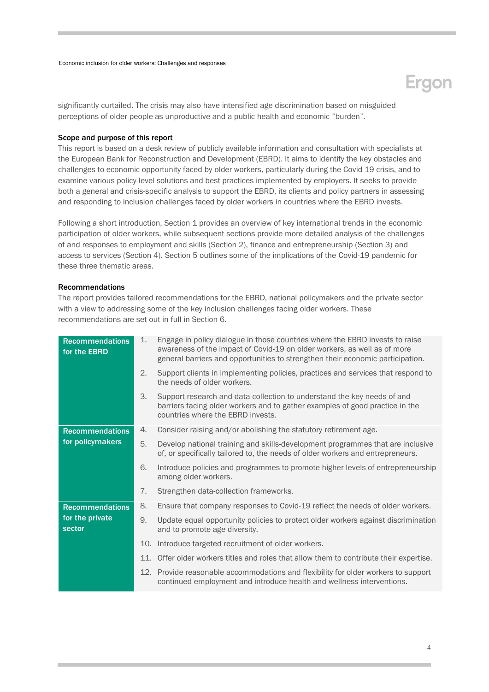## Ergon

significantly curtailed. The crisis may also have intensified age discrimination based on misguided perceptions of older people as unproductive and a public health and economic "burden".

### Scope and purpose of this report

This report is based on a desk review of publicly available information and consultation with specialists at the European Bank for Reconstruction and Development (EBRD). It aims to identify the key obstacles and challenges to economic opportunity faced by older workers, particularly during the Covid-19 crisis, and to examine various policy-level solutions and best practices implemented by employers. It seeks to provide both a general and crisis-specific analysis to support the EBRD, its clients and policy partners in assessing and responding to inclusion challenges faced by older workers in countries where the EBRD invests.

Following a short introduction, Section 1 provides an overview of key international trends in the economic participation of older workers, while subsequent sections provide more detailed analysis of the challenges of and responses to employment and skills (Section 2), finance and entrepreneurship (Section 3) and access to services (Section 4). Section 5 outlines some of the implications of the Covid-19 pandemic for these three thematic areas.

#### Recommendations

The report provides tailored recommendations for the EBRD, national policymakers and the private sector with a view to addressing some of the key inclusion challenges facing older workers. These recommendations are set out in full in Section 6.

| <b>Recommendations</b><br>for the EBRD | 1.  | Engage in policy dialogue in those countries where the EBRD invests to raise<br>awareness of the impact of Covid-19 on older workers, as well as of more<br>general barriers and opportunities to strengthen their economic participation. |
|----------------------------------------|-----|--------------------------------------------------------------------------------------------------------------------------------------------------------------------------------------------------------------------------------------------|
|                                        | 2.  | Support clients in implementing policies, practices and services that respond to<br>the needs of older workers.                                                                                                                            |
|                                        | 3.  | Support research and data collection to understand the key needs of and<br>barriers facing older workers and to gather examples of good practice in the<br>countries where the EBRD invests.                                               |
| <b>Recommendations</b>                 | 4.  | Consider raising and/or abolishing the statutory retirement age.                                                                                                                                                                           |
| for policymakers                       | 5.  | Develop national training and skills-development programmes that are inclusive<br>of, or specifically tailored to, the needs of older workers and entrepreneurs.                                                                           |
|                                        | 6.  | Introduce policies and programmes to promote higher levels of entrepreneurship<br>among older workers.                                                                                                                                     |
|                                        | 7.  | Strengthen data-collection frameworks.                                                                                                                                                                                                     |
| <b>Recommendations</b>                 | 8.  | Ensure that company responses to Covid-19 reflect the needs of older workers.                                                                                                                                                              |
| for the private<br>sector              | 9.  | Update equal opportunity policies to protect older workers against discrimination<br>and to promote age diversity.                                                                                                                         |
|                                        | 10. | Introduce targeted recruitment of older workers.                                                                                                                                                                                           |
|                                        | 11. | Offer older workers titles and roles that allow them to contribute their expertise.                                                                                                                                                        |
|                                        |     | 12. Provide reasonable accommodations and flexibility for older workers to support<br>continued employment and introduce health and wellness interventions.                                                                                |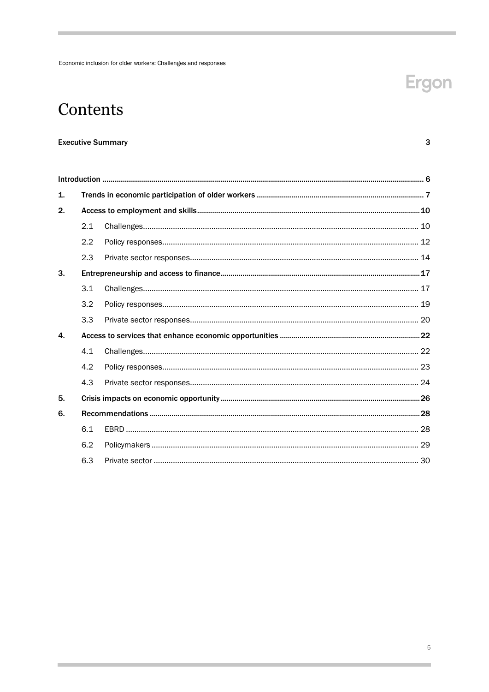## Ergon

 $\overline{3}$ 

### Contents

### **Executive Summary**

| 1. |     |  |  |  |  |  |
|----|-----|--|--|--|--|--|
| 2. |     |  |  |  |  |  |
|    | 2.1 |  |  |  |  |  |
|    | 2.2 |  |  |  |  |  |
|    | 2.3 |  |  |  |  |  |
| 3. |     |  |  |  |  |  |
|    | 3.1 |  |  |  |  |  |
|    | 3.2 |  |  |  |  |  |
|    | 3.3 |  |  |  |  |  |
| 4. |     |  |  |  |  |  |
|    | 4.1 |  |  |  |  |  |
|    | 4.2 |  |  |  |  |  |
|    | 4.3 |  |  |  |  |  |
| 5. |     |  |  |  |  |  |
| 6. |     |  |  |  |  |  |
|    | 6.1 |  |  |  |  |  |
|    | 6.2 |  |  |  |  |  |
|    | 6.3 |  |  |  |  |  |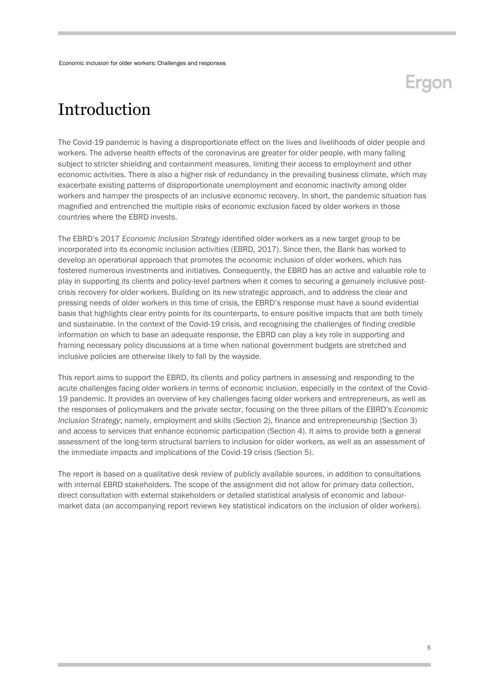### <span id="page-5-0"></span>Introduction

The Covid-19 pandemic is having a disproportionate effect on the lives and livelihoods of older people and workers. The adverse health effects of the coronavirus are greater for older people, with many falling subject to stricter shielding and containment measures, limiting their access to employment and other economic activities. There is also a higher risk of redundancy in the prevailing business climate, which may exacerbate existing patterns of disproportionate unemployment and economic inactivity among older workers and hamper the prospects of an inclusive economic recovery. In short, the pandemic situation has magnified and entrenched the multiple risks of economic exclusion faced by older workers in those countries where the EBRD invests.

The EBRD's 2017 *Economic Inclusion Strategy* identified older workers as a new target group to be incorporated into its economic inclusion activities (EBRD, 2017). Since then, the Bank has worked to develop an operational approach that promotes the economic inclusion of older workers, which has fostered numerous investments and initiatives. Consequently, the EBRD has an active and valuable role to play in supporting its clients and policy-level partners when it comes to securing a genuinely inclusive postcrisis recovery for older workers. Building on its new strategic approach, and to address the clear and pressing needs of older workers in this time of crisis, the EBRD's response must have a sound evidential basis that highlights clear entry points for its counterparts, to ensure positive impacts that are both timely and sustainable. In the context of the Covid-19 crisis, and recognising the challenges of finding credible information on which to base an adequate response, the EBRD can play a key role in supporting and framing necessary policy discussions at a time when national government budgets are stretched and inclusive policies are otherwise likely to fall by the wayside.

This report aims to support the EBRD, its clients and policy partners in assessing and responding to the acute challenges facing older workers in terms of economic inclusion, especially in the context of the Covid-19 pandemic. It provides an overview of key challenges facing older workers and entrepreneurs, as well as the responses of policymakers and the private sector, focusing on the three pillars of the EBRD's *Economic Inclusion Strategy*; namely, employment and skills (Section 2), finance and entrepreneurship (Section 3) and access to services that enhance economic participation (Section 4). It aims to provide both a general assessment of the long-term structural barriers to inclusion for older workers, as well as an assessment of the immediate impacts and implications of the Covid-19 crisis (Section 5).

<span id="page-5-1"></span>The report is based on a qualitative desk review of publicly available sources, in addition to consultations with internal EBRD stakeholders. The scope of the assignment did not allow for primary data collection, direct consultation with external stakeholders or detailed statistical analysis of economic and labourmarket data (an accompanying report reviews key statistical indicators on the inclusion of older workers).

Ergon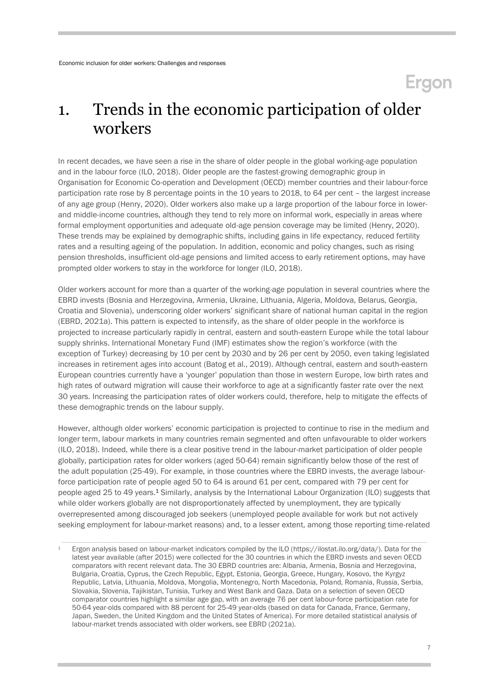### 1. Trends in the economic participation of older workers

In recent decades, we have seen a rise in the share of older people in the global working-age population and in the labour force (ILO, 2018). Older people are the fastest-growing demographic group in Organisation for Economic Co-operation and Development (OECD) member countries and their labour-force participation rate rose by 8 percentage points in the 10 years to 2018, to 64 per cent – the largest increase of any age group (Henry, 2020). Older workers also make up a large proportion of the labour force in lowerand middle-income countries, although they tend to rely more on informal work, especially in areas where formal employment opportunities and adequate old-age pension coverage may be limited (Henry, 2020). These trends may be explained by demographic shifts, including gains in life expectancy, reduced fertility rates and a resulting ageing of the population. In addition, economic and policy changes, such as rising pension thresholds, insufficient old-age pensions and limited access to early retirement options, may have prompted older workers to stay in the workforce for longer (ILO, 2018).

Older workers account for more than a quarter of the working-age population in several countries where the EBRD invests (Bosnia and Herzegovina, Armenia, Ukraine, Lithuania, Algeria, Moldova, Belarus, Georgia, Croatia and Slovenia), underscoring older workers' significant share of national human capital in the region (EBRD, 2021a). This pattern is expected to intensify, as the share of older people in the workforce is projected to increase particularly rapidly in central, eastern and south-eastern Europe while the total labour supply shrinks. International Monetary Fund (IMF) estimates show the region's workforce (with the exception of Turkey) decreasing by 10 per cent by 2030 and by 26 per cent by 2050, even taking legislated increases in retirement ages into account (Batog et al., 2019). Although central, eastern and south-eastern European countries currently have a 'younger' population than those in western Europe, low birth rates and high rates of outward migration will cause their workforce to age at a significantly faster rate over the next 30 years. Increasing the participation rates of older workers could, therefore, help to mitigate the effects of these demographic trends on the labour supply.

However, although older workers' economic participation is projected to continue to rise in the medium and longer term, labour markets in many countries remain segmented and often unfavourable to older workers (ILO, 2018). Indeed, while there is a clear positive trend in the labour-market participation of older people globally, participation rates for older workers (aged 50-64) remain significantly below those of the rest of the adult population (25-49). For example, in those countries where the EBRD invests, the average labourforce participation rate of people aged 50 to 64 is around 61 per cent, compared with 79 per cent for people aged 25 to 49 years.<sup>1</sup> Similarly, analysis by the International Labour Organization (ILO) suggests that while older workers globally are not disproportionately affected by unemployment, they are typically overrepresented among discouraged job seekers (unemployed people available for work but not actively seeking employment for labour-market reasons) and, to a lesser extent, among those reporting time-related

<sup>1</sup> Ergon analysis based on labour-market indicators compiled by the ILO [\(https://ilostat.ilo.org/data/\)](https://ilostat.ilo.org/data/). Data for the latest year available (after 2015) were collected for the 30 countries in which the EBRD invests and seven OECD comparators with recent relevant data. The 30 EBRD countries are: Albania, Armenia, Bosnia and Herzegovina, Bulgaria, Croatia, Cyprus, the Czech Republic, Egypt, Estonia, Georgia, Greece, Hungary, Kosovo, the Kyrgyz Republic, Latvia, Lithuania, Moldova, Mongolia, Montenegro, North Macedonia, Poland, Romania, Russia, Serbia, Slovakia, Slovenia, Tajikistan, Tunisia, Turkey and West Bank and Gaza. Data on a selection of seven OECD comparator countries highlight a similar age gap, with an average 76 per cent labour-force participation rate for 50-64 year-olds compared with 88 percent for 25-49 year-olds (based on data for Canada, France, Germany, Japan, Sweden, the United Kingdom and the United States of America). For more detailed statistical analysis of labour-market trends associated with older workers, see EBRD (2021a).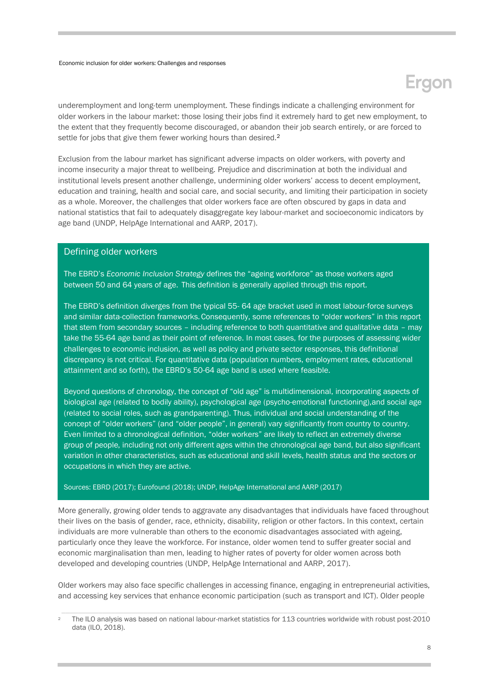underemployment and long-term unemployment. These findings indicate a challenging environment for older workers in the labour market: those losing their jobs find it extremely hard to get new employment, to the extent that they frequently become discouraged, or abandon their job search entirely, or are forced to settle for jobs that give them fewer working hours than desired.<sup>2</sup>

Exclusion from the labour market has significant adverse impacts on older workers, with poverty and income insecurity a major threat to wellbeing. Prejudice and discrimination at both the individual and institutional levels present another challenge, undermining older workers' access to decent employment, education and training, health and social care, and social security, and limiting their participation in society as a whole. Moreover, the challenges that older workers face are often obscured by gaps in data and national statistics that fail to adequately disaggregate key labour-market and socioeconomic indicators by age band (UNDP, HelpAge International and AARP, 2017).

#### Defining older workers

The EBRD's *Economic Inclusion Strategy* defines the "ageing workforce" as those workers aged between 50 and 64 years of age. This definition is generally applied through this report.

The EBRD's definition diverges from the typical 55- 64 age bracket used in most labour-force surveys and similar data-collection frameworks.Consequently, some references to "older workers" in this report that stem from secondary sources – including reference to both quantitative and qualitative data – may take the 55-64 age band as their point of reference. In most cases, for the purposes of assessing wider challenges to economic inclusion, as well as policy and private sector responses, this definitional discrepancy is not critical. For quantitative data (population numbers, employment rates, educational attainment and so forth), the EBRD's 50-64 age band is used where feasible.

Beyond questions of chronology, the concept of "old age" is multidimensional, incorporating aspects of biological age (related to bodily ability), psychological age (psycho-emotional functioning),and social age (related to social roles, such as grandparenting). Thus, individual and social understanding of the concept of "older workers" (and "older people", in general) vary significantly from country to country. Even limited to a chronological definition, "older workers" are likely to reflect an extremely diverse group of people, including not only different ages within the chronological age band, but also significant variation in other characteristics, such as educational and skill levels, health status and the sectors or occupations in which they are active.

#### Sources: EBRD (2017); Eurofound (2018); UNDP, HelpAge International and AARP (2017)

More generally, growing older tends to aggravate any disadvantages that individuals have faced throughout their lives on the basis of gender, race, ethnicity, disability, religion or other factors. In this context, certain individuals are more vulnerable than others to the economic disadvantages associated with ageing, particularly once they leave the workforce. For instance, older women tend to suffer greater social and economic marginalisation than men, leading to higher rates of poverty for older women across both developed and developing countries (UNDP, HelpAge International and AARP, 2017).

Older workers may also face specific challenges in accessing finance, engaging in entrepreneurial activities, and accessing key services that enhance economic participation (such as transport and ICT). Older people

<sup>2</sup> The ILO analysis was based on national labour-market statistics for 113 countries worldwide with robust post-2010 data (ILO, 2018).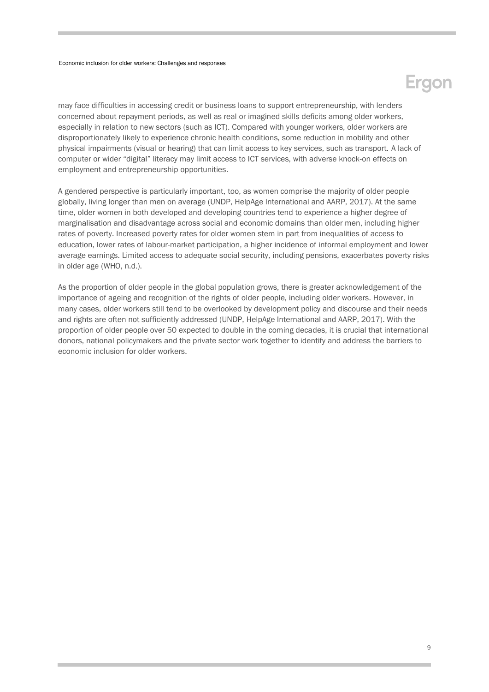## Ergon

may face difficulties in accessing credit or business loans to support entrepreneurship, with lenders concerned about repayment periods, as well as real or imagined skills deficits among older workers, especially in relation to new sectors (such as ICT). Compared with younger workers, older workers are disproportionately likely to experience chronic health conditions, some reduction in mobility and other physical impairments (visual or hearing) that can limit access to key services, such as transport. A lack of computer or wider "digital" literacy may limit access to ICT services, with adverse knock-on effects on employment and entrepreneurship opportunities.

A gendered perspective is particularly important, too, as women comprise the majority of older people globally, living longer than men on average (UNDP, HelpAge International and AARP, 2017). At the same time, older women in both developed and developing countries tend to experience a higher degree of marginalisation and disadvantage across social and economic domains than older men, including higher rates of poverty. Increased poverty rates for older women stem in part from inequalities of access to education, lower rates of labour-market participation, a higher incidence of informal employment and lower average earnings. Limited access to adequate social security, including pensions, exacerbates poverty risks in older age (WHO, n.d.).

<span id="page-8-0"></span>As the proportion of older people in the global population grows, there is greater acknowledgement of the importance of ageing and recognition of the rights of older people, including older workers. However, in many cases, older workers still tend to be overlooked by development policy and discourse and their needs and rights are often not sufficiently addressed (UNDP, HelpAge International and AARP, 2017). With the proportion of older people over 50 expected to double in the coming decades, it is crucial that international donors, national policymakers and the private sector work together to identify and address the barriers to economic inclusion for older workers.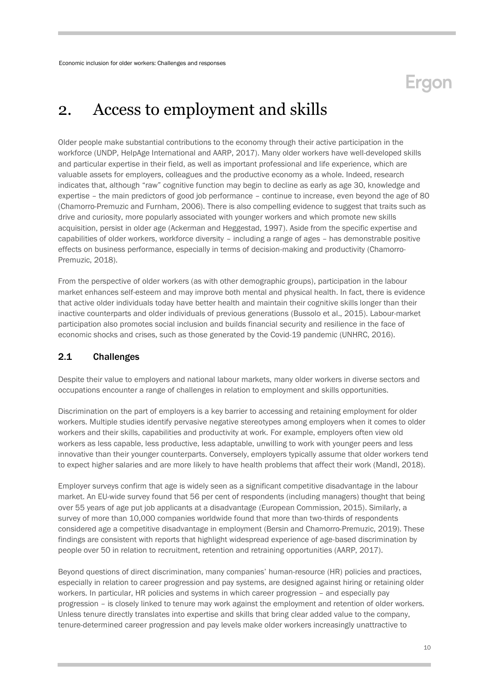## **Eraon**

### 2. Access to employment and skills

Older people make substantial contributions to the economy through their active participation in the workforce (UNDP, HelpAge International and AARP, 2017). Many older workers have well-developed skills and particular expertise in their field, as well as important professional and life experience, which are valuable assets for employers, colleagues and the productive economy as a whole. Indeed, research indicates that, although "raw" cognitive function may begin to decline as early as age 30, knowledge and expertise – the main predictors of good job performance – continue to increase, even beyond the age of 80 (Chamorro-Premuzic and Furnham, 2006). There is also compelling evidence to suggest that traits such as drive and curiosity, more popularly associated with younger workers and which promote new skills acquisition, persist in older age (Ackerman and Heggestad, 1997). Aside from the specific expertise and capabilities of older workers, workforce diversity – including a range of ages – has demonstrable positive effects on business performance, especially in terms of decision-making and productivity (Chamorro-Premuzic, 2018).

From the perspective of older workers (as with other demographic groups), participation in the labour market enhances self-esteem and may improve both mental and physical health. In fact, there is evidence that active older individuals today have better health and maintain their cognitive skills longer than their inactive counterparts and older individuals of previous generations (Bussolo et al., 2015). Labour-market participation also promotes social inclusion and builds financial security and resilience in the face of economic shocks and crises, such as those generated by the Covid-19 pandemic (UNHRC, 2016).

### <span id="page-9-0"></span>2.1 Challenges

Despite their value to employers and national labour markets, many older workers in diverse sectors and occupations encounter a range of challenges in relation to employment and skills opportunities.

Discrimination on the part of employers is a key barrier to accessing and retaining employment for older workers. Multiple studies identify pervasive negative stereotypes among employers when it comes to older workers and their skills, capabilities and productivity at work. For example, employers often view old workers as less capable, less productive, less adaptable, unwilling to work with younger peers and less innovative than their younger counterparts. Conversely, employers typically assume that older workers tend to expect higher salaries and are more likely to have health problems that affect their work (Mandl, 2018).

Employer surveys confirm that age is widely seen as a significant competitive disadvantage in the labour market. An EU-wide survey found that 56 per cent of respondents (including managers) thought that being over 55 years of age put job applicants at a disadvantage (European Commission, 2015). Similarly, a survey of more than 10,000 companies worldwide found that more than two-thirds of respondents considered age a competitive disadvantage in employment (Bersin and Chamorro-Premuzic, 2019). These findings are consistent with reports that highlight widespread experience of age-based discrimination by people over 50 in relation to recruitment, retention and retraining opportunities (AARP, 2017).

Beyond questions of direct discrimination, many companies' human-resource (HR) policies and practices, especially in relation to career progression and pay systems, are designed against hiring or retaining older workers. In particular, HR policies and systems in which career progression – and especially pay progression – is closely linked to tenure may work against the employment and retention of older workers. Unless tenure directly translates into expertise and skills that bring clear added value to the company, tenure-determined career progression and pay levels make older workers increasingly unattractive to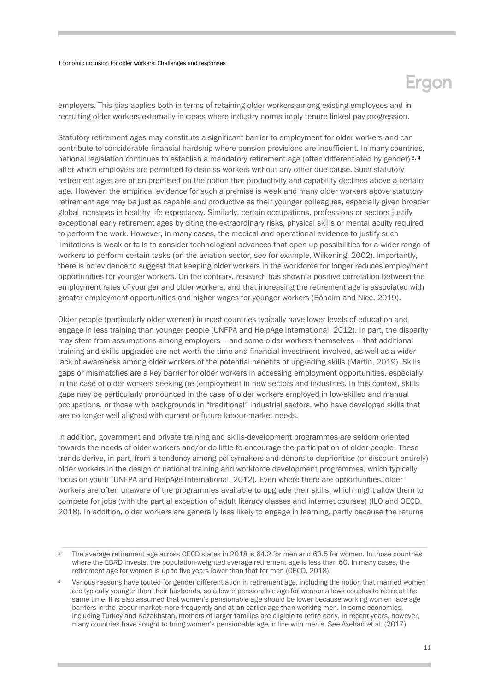## Ergon

employers. This bias applies both in terms of retaining older workers among existing employees and in recruiting older workers externally in cases where industry norms imply tenure-linked pay progression.

Statutory retirement ages may constitute a significant barrier to employment for older workers and can contribute to considerable financial hardship where pension provisions are insufficient. In many countries, national legislation continues to establish a mandatory retirement age (often differentiated by gender)<sup>3, 4</sup> after which employers are permitted to dismiss workers without any other due cause. Such statutory retirement ages are often premised on the notion that productivity and capability declines above a certain age. However, the empirical evidence for such a premise is weak and many older workers above statutory retirement age may be just as capable and productive as their younger colleagues, especially given broader global increases in healthy life expectancy. Similarly, certain occupations, professions or sectors justify exceptional early retirement ages by citing the extraordinary risks, physical skills or mental acuity required to perform the work. However, in many cases, the medical and operational evidence to justify such limitations is weak or fails to consider technological advances that open up possibilities for a wider range of workers to perform certain tasks (on the aviation sector, see for example, Wilkening, 2002). Importantly, there is no evidence to suggest that keeping older workers in the workforce for longer reduces employment opportunities for younger workers. On the contrary, research has shown a positive correlation between the employment rates of younger and older workers, and that increasing the retirement age is associated with greater employment opportunities and higher wages for younger workers (Böheim and Nice, 2019).

Older people (particularly older women) in most countries typically have lower levels of education and engage in less training than younger people (UNFPA and HelpAge International, 2012). In part, the disparity may stem from assumptions among employers – and some older workers themselves – that additional training and skills upgrades are not worth the time and financial investment involved, as well as a wider lack of awareness among older workers of the potential benefits of upgrading skills (Martin, 2019). Skills gaps or mismatches are a key barrier for older workers in accessing employment opportunities, especially in the case of older workers seeking (re-)employment in new sectors and industries. In this context, skills gaps may be particularly pronounced in the case of older workers employed in low-skilled and manual occupations, or those with backgrounds in "traditional" industrial sectors, who have developed skills that are no longer well aligned with current or future labour-market needs.

In addition, government and private training and skills-development programmes are seldom oriented towards the needs of older workers and/or do little to encourage the participation of older people. These trends derive, in part, from a tendency among policymakers and donors to deprioritise (or discount entirely) older workers in the design of national training and workforce development programmes, which typically focus on youth (UNFPA and HelpAge International, 2012). Even where there are opportunities, older workers are often unaware of the programmes available to upgrade their skills, which might allow them to compete for jobs (with the partial exception of adult literacy classes and internet courses) (ILO and OECD, 2018). In addition, older workers are generally less likely to engage in learning, partly because the returns

The average retirement age across OECD states in 2018 is 64.2 for men and 63.5 for women. In those countries where the EBRD invests, the population-weighted average retirement age is less than 60. In many cases, the retirement age for women is up to five years lower than that for men (OECD, 2018).

<sup>4</sup> Various reasons have touted for gender differentiation in retirement age, including the notion that married women are typically younger than their husbands, so a lower pensionable age for women allows couples to retire at the same time. It is also assumed that women's pensionable age should be lower because working women face age barriers in the labour market more frequently and at an earlier age than working men. In some economies, including Turkey and Kazakhstan, mothers of larger families are eligible to retire early. In recent years, however, many countries have sought to bring women's pensionable age in line with men's. See Axelrad et al. (2017).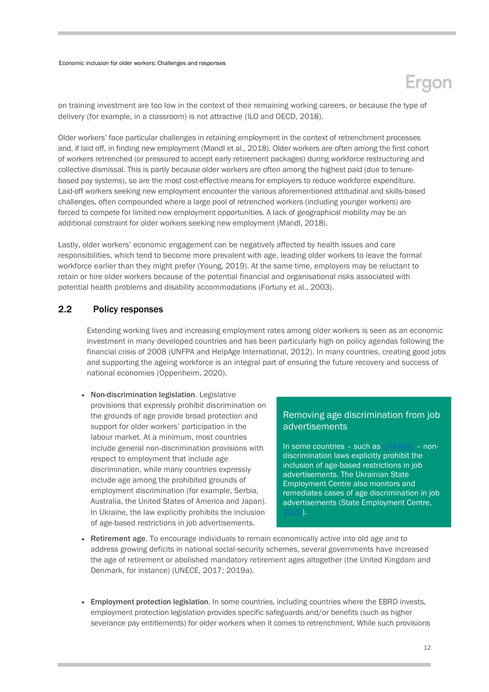## cion

on training investment are too low in the context of their remaining working careers, or because the type of delivery (for example, in a classroom) is not attractive (ILO and OECD, 2018).

Older workers' face particular challenges in retaining employment in the context of retrenchment processes and, if laid off, in finding new employment (Mandl et al., 2018). Older workers are often among the first cohort of workers retrenched (or pressured to accept early retirement packages) during workforce restructuring and collective dismissal. This is partly because older workers are often among the highest paid (due to tenurebased pay systems), so are the most cost-effective means for employers to reduce workforce expenditure. Laid-off workers seeking new employment encounter the various aforementioned attitudinal and skills-based challenges, often compounded where a large pool of retrenched workers (including younger workers) are forced to compete for limited new employment opportunities. A lack of geographical mobility may be an additional constraint for older workers seeking new employment (Mandl, 2018).

Lastly, older workers' economic engagement can be negatively affected by health issues and care responsibilities, which tend to become more prevalent with age, leading older workers to leave the formal workforce earlier than they might prefer (Young, 2019). At the same time, employers may be reluctant to retain or hire older workers because of the potential financial and organisational risks associated with potential health problems and disability accommodations (Fortuny et al., 2003).

### <span id="page-11-0"></span>2.2 Policy responses

Extending working lives and increasing employment rates among older workers is seen as an economic investment in many developed countries and has been particularly high on policy agendas following the financial crisis of 2008 (UNFPA and HelpAge International, 2012). In many countries, creating good jobs and supporting the ageing workforce is an integral part of ensuring the future recovery and success of national economies (Oppenheim, 2020).

• Non-discrimination legislation. Legislative provisions that expressly prohibit discrimination on the grounds of age provide broad protection and support for older workers' participation in the labour market. At a minimum, most countries include general non-discrimination provisions with respect to employment that include age discrimination, while many countries expressly include age among the prohibited grounds of employment discrimination (for example, Serbia, Australia, the United States of America and Japan). In Ukraine, the law explicitly prohibits the inclusion of age-based restrictions in job advertisements.

### Removing age discrimination from job advertisements

In some countries – such a[s UKRAINE](https://zakon.rada.gov.ua/laws/anot/en/5067-17) – nondiscrimination laws explicitly prohibit the inclusion of age-based restrictions in job advertisements. The Ukrainian State Employment Centre also monitors and remediates cases of age discrimination in job advertisements (State Employment Centre,  $(20)$ .

- Retirement age. To encourage individuals to remain economically active into old age and to address growing deficits in national social-security schemes, several governments have increased the age of retirement or abolished mandatory retirement ages altogether (the United Kingdom and Denmark, for instance) (UNECE, 2017; 2019a).
- Employment protection legislation. In some countries, including countries where the EBRD invests, employment protection legislation provides specific safeguards and/or benefits (such as higher severance pay entitlements) for older workers when it comes to retrenchment. While such provisions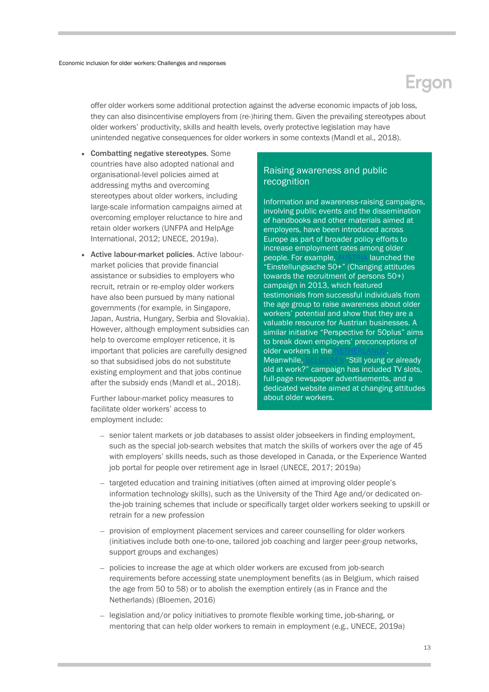offer older workers some additional protection against the adverse economic impacts of job loss, they can also disincentivise employers from (re-)hiring them. Given the prevailing stereotypes about older workers' productivity, skills and health levels, overly protective legislation may have unintended negative consequences for older workers in some contexts (Mandl et al., 2018).

- Combatting negative stereotypes. Some countries have also adopted national and organisational-level policies aimed at addressing myths and overcoming stereotypes about older workers, including large-scale information campaigns aimed at overcoming employer reluctance to hire and retain older workers (UNFPA and HelpAge International, 2012; UNECE, 2019a).
- Active labour-market policies. Active labourmarket policies that provide financial assistance or subsidies to employers who recruit, retrain or re-employ older workers have also been pursued by many national governments (for example, in Singapore, Japan, Austria, Hungary, Serbia and Slovakia). However, although employment subsidies can help to overcome employer reticence, it is important that policies are carefully designed so that subsidised jobs do not substitute existing employment and that jobs continue after the subsidy ends (Mandl et al., 2018).

Further labour-market policy measures to facilitate older workers' access to employment include:

### Raising awareness and public recognition

Information and awareness-raising campaigns, involving public events and the dissemination of handbooks and other materials aimed at employers, have been introduced across Europe as part of broader policy efforts to increase employment rates among older people. For example, [AUSTRIA](https://www.unece.org/fileadmin/DAM/pau/age/Policy_briefs/ECE-WG1-30.pdf) launched the "Einstellungsache 50+" (Changing attitudes towards the recruitment of persons 50+) campaign in 2013, which featured testimonials from successful individuals from the age group to raise awareness about older workers' potential and show that they are a valuable resource for Austrian businesses. A similar initiative "Perspective for 50plus" aims to break down employers' preconceptions of older workers in the Meanwhile, **[BELGIUM's](https://www.unece.org/fileadmin/DAM/pau/age/Policy_briefs/ECE-WG1-30.pdf)** "Still young or already old at work?" campaign has included TV slots, full-page newspaper advertisements, and a dedicated website aimed at changing attitudes about older workers.

- senior talent markets or job databases to assist older jobseekers in finding employment, such as the special job-search websites that match the skills of workers over the age of 45 with employers' skills needs, such as those developed in Canada, or the Experience Wanted job portal for people over retirement age in Israel (UNECE, 2017; 2019a)
- targeted education and training initiatives (often aimed at improving older people's information technology skills), such as the University of the Third Age and/or dedicated onthe-job training schemes that include or specifically target older workers seeking to upskill or retrain for a new profession
- provision of employment placement services and career counselling for older workers (initiatives include both one-to-one, tailored job coaching and larger peer-group networks, support groups and exchanges)
- policies to increase the age at which older workers are excused from job-search requirements before accessing state unemployment benefits (as in Belgium, which raised the age from 50 to 58) or to abolish the exemption entirely (as in France and the Netherlands) (Bloemen, 2016)
- legislation and/or policy initiatives to promote flexible working time, job-sharing, or mentoring that can help older workers to remain in employment (e.g., UNECE, 2019a)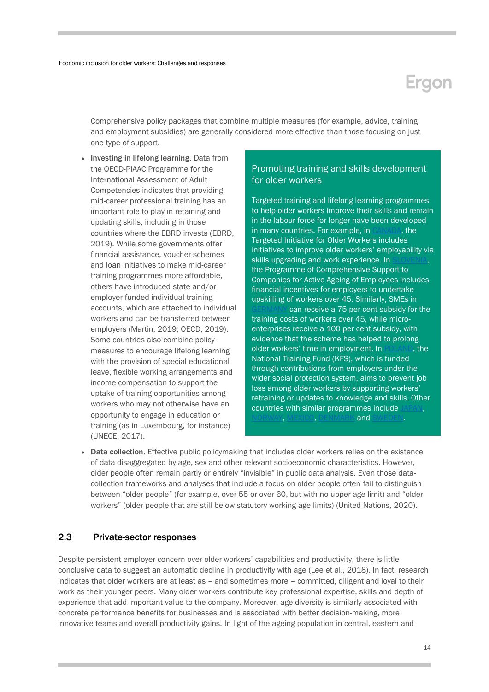Comprehensive policy packages that combine multiple measures (for example, advice, training and employment subsidies) are generally considered more effective than those focusing on just one type of support.

• Investing in lifelong learning. Data from the OECD-PIAAC Programme for the International Assessment of Adult Competencies indicates that providing mid-career professional training has an important role to play in retaining and updating skills, including in those countries where the EBRD invests (EBRD, 2019). While some governments offer financial assistance, voucher schemes and loan initiatives to make mid-career training programmes more affordable, others have introduced state and/or employer-funded individual training accounts, which are attached to individual workers and can be transferred between employers (Martin, 2019; OECD, 2019). Some countries also combine policy measures to encourage lifelong learning with the provision of special educational leave, flexible working arrangements and income compensation to support the uptake of training opportunities among workers who may not otherwise have an opportunity to engage in education or training (as in Luxembourg, for instance) (UNECE, 2017).

### Promoting training and skills development for older workers

Targeted training and lifelong learning programmes to help older workers improve their skills and remain in the labour force for longer have been developed in many countries. For example, in [CANADA,](https://www.canada.ca/en/employment-social-development/programs/training-agreements/older-workers.html) the Targeted Initiative for Older Workers includes initiatives to improve older workers' employability via skills upgrading and work experience. In the Programme of Comprehensive Support to Companies for Active Ageing of Employees includes financial incentives for employers to undertake upskilling of workers over 45. Similarly, SMEs in

can receive a 75 per cent subsidy for the training costs of workers over 45, while microenterprises receive a 100 per cent subsidy, with evidence that the scheme has helped to prolong older workers' time in employment. In [POLAND,](https://www.unece.org/fileadmin/DAM/pau/age/country_rpts/2017/POL-Report-EN.pdf) the National Training Fund (KFS), which is funded through contributions from employers under the wider social protection system, aims to prevent job loss among older workers by supporting workers' retraining or updates to knowledge and skills. Other countries with similar programmes include IORWAY, [MEXICO, DENMARK](https://www.unfpa.org/sites/default/files/pub-pdf/Ageing%20report.pdf) and [SWEDEN.](https://www.unfpa.org/sites/default/files/pub-pdf/Ageing%20report.pdf)

• Data collection. Effective public policymaking that includes older workers relies on the existence of data disaggregated by age, sex and other relevant socioeconomic characteristics. However, older people often remain partly or entirely "invisible" in public data analysis. Even those datacollection frameworks and analyses that include a focus on older people often fail to distinguish between "older people" (for example, over 55 or over 60, but with no upper age limit) and "older workers" (older people that are still below statutory working-age limits) (United Nations, 2020).

### <span id="page-13-0"></span>2.3 Private-sector responses

Despite persistent employer concern over older workers' capabilities and productivity, there is little conclusive data to suggest an automatic decline in productivity with age (Lee et al., 2018). In fact, research indicates that older workers are at least as – and sometimes more – committed, diligent and loyal to their work as their younger peers. Many older workers contribute key professional expertise, skills and depth of experience that add important value to the company. Moreover, age diversity is similarly associated with concrete performance benefits for businesses and is associated with better decision-making, more innovative teams and overall productivity gains. In light of the ageing population in central, eastern and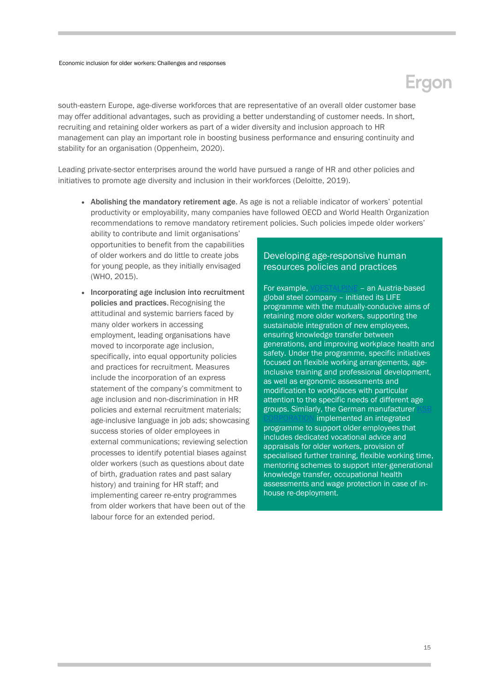south-eastern Europe, age-diverse workforces that are representative of an overall older customer base may offer additional advantages, such as providing a better understanding of customer needs. In short, recruiting and retaining older workers as part of a wider diversity and inclusion approach to HR management can play an important role in boosting business performance and ensuring continuity and stability for an organisation (Oppenheim, 2020).

Leading private-sector enterprises around the world have pursued a range of HR and other policies and initiatives to promote age diversity and inclusion in their workforces (Deloitte, 2019).

 Abolishing the mandatory retirement age. As age is not a reliable indicator of workers' potential productivity or employability, many companies have followed OECD and World Health Organization recommendations to remove mandatory retirement policies. Such policies impede older workers'

ability to contribute and limit organisations' opportunities to benefit from the capabilities of older workers and do little to create jobs for young people, as they initially envisaged (WHO, 2015).

• Incorporating age inclusion into recruitment policies and practices. Recognising the attitudinal and systemic barriers faced by many older workers in accessing employment, leading organisations have moved to incorporate age inclusion, specifically, into equal opportunity policies and practices for recruitment. Measures include the incorporation of an express statement of the company's commitment to age inclusion and non-discrimination in HR policies and external recruitment materials; age-inclusive language in job ads; showcasing success stories of older employees in external communications; reviewing selection processes to identify potential biases against older workers (such as questions about date of birth, graduation rates and past salary history) and training for HR staff; and implementing career re-entry programmes from older workers that have been out of the labour force for an extended period.

### Developing age-responsive human resources policies and practices

For example[, VOESTALPINE](http://www.ageingatwork.eu/resources/a-guide-to-good-practice-in-age-management.pdf) – an Austria-based global steel company – initiated its LIFE programme with the mutually-conducive aims of retaining more older workers, supporting the sustainable integration of new employees, ensuring knowledge transfer between generations, and improving workplace health and safety. Under the programme, specific initiatives focused on flexible working arrangements, ageinclusive training and professional development, as well as ergonomic assessments and modification to workplaces with particular attention to the specific needs of different age groups. Similarly, the German manufacturer implemented an integrated

programme to support older employees that includes dedicated vocational advice and appraisals for older workers, provision of specialised further training, flexible working time, mentoring schemes to support inter-generational knowledge transfer, occupational health assessments and wage protection in case of inhouse re-deployment.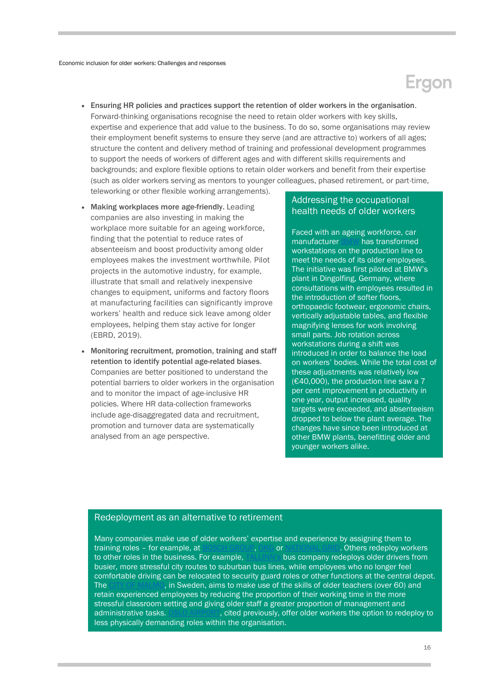- Ensuring HR policies and practices support the retention of older workers in the organisation. Forward-thinking organisations recognise the need to retain older workers with key skills, expertise and experience that add value to the business. To do so, some organisations may review their employment benefit systems to ensure they serve (and are attractive to) workers of all ages; structure the content and delivery method of training and professional development programmes to support the needs of workers of different ages and with different skills requirements and backgrounds; and explore flexible options to retain older workers and benefit from their expertise (such as older workers serving as mentors to younger colleagues, phased retirement, or part-time, teleworking or other flexible working arrangements).
- Making workplaces more age-friendly. Leading companies are also investing in making the workplace more suitable for an ageing workforce, finding that the potential to reduce rates of absenteeism and boost productivity among older employees makes the investment worthwhile. Pilot projects in the automotive industry, for example, illustrate that small and relatively inexpensive changes to equipment, uniforms and factory floors at manufacturing facilities can significantly improve workers' health and reduce sick leave among older employees, helping them stay active for longer (EBRD, 2019).
- Monitoring recruitment, promotion, training and staff retention to identify potential age-related biases. Companies are better positioned to understand the potential barriers to older workers in the organisation and to monitor the impact of age-inclusive HR policies. Where HR data-collection frameworks include age-disaggregated data and recruitment, promotion and turnover data are systematically analysed from an age perspective.

### Addressing the occupational health needs of older workers

Faced with an ageing workforce, car manufacturer [BMW](https://hbr.org/2010/03/the-globe-how-bmw-is-defusing-the-demographic-time-bomb) has transformed workstations on the production line to meet the needs of its older employees. The initiative was first piloted at BMW's plant in Dingolfing, Germany, where consultations with employees resulted in the introduction of softer floors, orthopaedic footwear, ergonomic chairs, vertically adjustable tables, and flexible magnifying lenses for work involving small parts. Job rotation across workstations during a shift was introduced in order to balance the load on workers' bodies. While the total cost of these adjustments was relatively low ( $€40,000$ ), the production line saw a 7 per cent improvement in productivity in one year, output increased, quality targets were exceeded, and absenteeism dropped to below the plant average. The changes have since been introduced at other BMW plants, benefitting older and younger workers alike.

### <span id="page-15-0"></span>Redeployment as an alternative to retirement

Many companies make use of older workers' expertise and experience by assigning them to training roles – for example, a[t BOSCH GROUP,](https://www.emerald.com/insight/publication/issn/0967-0734) [OKG](http://www.ageingatwork.eu/resources/a-guide-to-good-practice-in-age-management.pdf) or [NATIONAL GRID.](https://www.marketwatch.com/story/why-this-company-makes-a-point-to-hire-older-workers-2018-06-27) Others redeploy workers to other roles in the business. For example, [TALLINN's](http://www.ageingatwork.eu/resources/a-guide-to-good-practice-in-age-management.pdf) bus company redeploys older drivers from busier, more stressful city routes to suburban bus lines, while employees who no longer feel comfortable driving can be relocated to security guard roles or other functions at the central depot. The [CITY OF MALMO,](http://www.ageingatwork.eu/resources/a-guide-to-good-practice-in-age-management.pdf) in Sweden, aims to make use of the skills of older teachers (over 60) and retain experienced employees by reducing the proportion of their working time in the more stressful classroom setting and giving older staff a greater proportion of management and administrative tasks. [OSLO AIRPORT,](https://www.oecd-ilibrary.org/docserver/dc7b2222-en.pdf?expires=1611838582&id=id&accname=guest&checksum=00325894DDEBA3FC24295B0D71BFF8B0) cited previously, offer older workers the option to redeploy to less physically demanding roles within the organisation.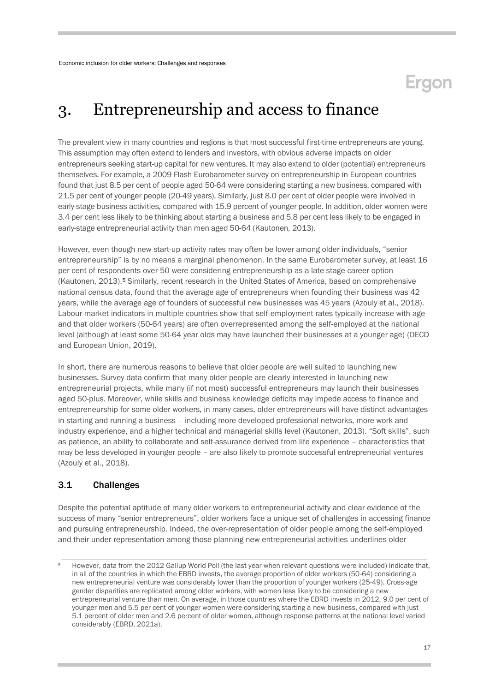## **Eraon**

### 3. Entrepreneurship and access to finance

The prevalent view in many countries and regions is that most successful first-time entrepreneurs are young. This assumption may often extend to lenders and investors, with obvious adverse impacts on older entrepreneurs seeking start-up capital for new ventures. It may also extend to older (potential) entrepreneurs themselves. For example, a 2009 Flash Eurobarometer survey on entrepreneurship in European countries found that just 8.5 per cent of people aged 50-64 were considering starting a new business, compared with 21.5 per cent of younger people (20-49 years). Similarly, just 8.0 per cent of older people were involved in early-stage business activities, compared with 15.9 percent of younger people. In addition, older women were 3.4 per cent less likely to be thinking about starting a business and 5.8 per cent less likely to be engaged in early-stage entrepreneurial activity than men aged 50-64 (Kautonen, 2013).

However, even though new start-up activity rates may often be lower among older individuals, "senior entrepreneurship" is by no means a marginal phenomenon. In the same Eurobarometer survey, at least 16 per cent of respondents over 50 were considering entrepreneurship as a late-stage career option (Kautonen, 2013). <sup>5</sup> Similarly, recent research in the United States of America, based on comprehensive national census data, found that the average age of entrepreneurs when founding their business was 42 years, while the average age of founders of successful new businesses was 45 years (Azouly et al., 2018). Labour-market indicators in multiple countries show that self-employment rates typically increase with age and that older workers (50-64 years) are often overrepresented among the self-employed at the national level (although at least some 50-64 year olds may have launched their businesses at a younger age) (OECD and European Union, 2019).

In short, there are numerous reasons to believe that older people are well suited to launching new businesses. Survey data confirm that many older people are clearly interested in launching new entrepreneurial projects, while many (if not most) successful entrepreneurs may launch their businesses aged 50-plus. Moreover, while skills and business knowledge deficits may impede access to finance and entrepreneurship for some older workers, in many cases, older entrepreneurs will have distinct advantages in starting and running a business – including more developed professional networks, more work and industry experience, and a higher technical and managerial skills level (Kautonen, 2013). "Soft skills", such as patience, an ability to collaborate and self-assurance derived from life experience – characteristics that may be less developed in younger people – are also likely to promote successful entrepreneurial ventures (Azouly et al., 2018).

### <span id="page-16-0"></span>3.1 Challenges

Despite the potential aptitude of many older workers to entrepreneurial activity and clear evidence of the success of many "senior entrepreneurs", older workers face a unique set of challenges in accessing finance and pursuing entrepreneurship. Indeed, the over-representation of older people among the self-employed and their under-representation among those planning new entrepreneurial activities underlines older

<sup>5</sup> However, data from the 2012 Gallup World Poll (the last year when relevant questions were included) indicate that, in all of the countries in which the EBRD invests, the average proportion of older workers (50-64) considering a new entrepreneurial venture was considerably lower than the proportion of younger workers (25-49). Cross-age gender disparities are replicated among older workers, with women less likely to be considering a new entrepreneurial venture than men. On average, in those countries where the EBRD invests in 2012, 9.0 per cent of younger men and 5.5 per cent of younger women were considering starting a new business, compared with just 5.1 percent of older men and 2.6 percent of older women, although response patterns at the national level varied considerably (EBRD, 2021a).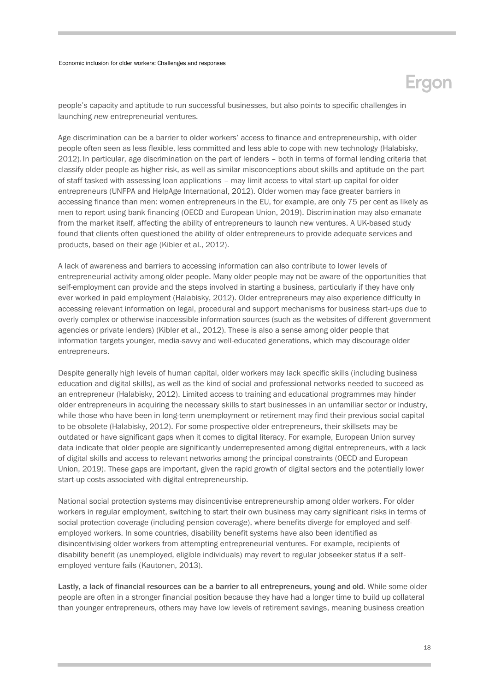## Ergon

people's capacity and aptitude to run successful businesses, but also points to specific challenges in launching *new* entrepreneurial ventures.

Age discrimination can be a barrier to older workers' access to finance and entrepreneurship, with older people often seen as less flexible, less committed and less able to cope with new technology (Halabisky, 2012). In particular, age discrimination on the part of lenders – both in terms of formal lending criteria that classify older people as higher risk, as well as similar misconceptions about skills and aptitude on the part of staff tasked with assessing loan applications – may limit access to vital start-up capital for older entrepreneurs (UNFPA and HelpAge International, 2012). Older women may face greater barriers in accessing finance than men: women entrepreneurs in the EU, for example, are only 75 per cent as likely as men to report using bank financing (OECD and European Union, 2019). Discrimination may also emanate from the market itself, affecting the ability of entrepreneurs to launch new ventures. A UK-based study found that clients often questioned the ability of older entrepreneurs to provide adequate services and products, based on their age (Kibler et al., 2012).

A lack of awareness and barriers to accessing information can also contribute to lower levels of entrepreneurial activity among older people. Many older people may not be aware of the opportunities that self-employment can provide and the steps involved in starting a business, particularly if they have only ever worked in paid employment (Halabisky, 2012). Older entrepreneurs may also experience difficulty in accessing relevant information on legal, procedural and support mechanisms for business start-ups due to overly complex or otherwise inaccessible information sources (such as the websites of different government agencies or private lenders) (Kibler et al., 2012). These is also a sense among older people that information targets younger, media-savvy and well-educated generations, which may discourage older entrepreneurs.

Despite generally high levels of human capital, older workers may lack specific skills (including business education and digital skills), as well as the kind of social and professional networks needed to succeed as an entrepreneur (Halabisky, 2012). Limited access to training and educational programmes may hinder older entrepreneurs in acquiring the necessary skills to start businesses in an unfamiliar sector or industry, while those who have been in long-term unemployment or retirement may find their previous social capital to be obsolete (Halabisky, 2012). For some prospective older entrepreneurs, their skillsets may be outdated or have significant gaps when it comes to digital literacy. For example, European Union survey data indicate that older people are significantly underrepresented among digital entrepreneurs, with a lack of digital skills and access to relevant networks among the principal constraints (OECD and European Union, 2019). These gaps are important, given the rapid growth of digital sectors and the potentially lower start-up costs associated with digital entrepreneurship.

National social protection systems may disincentivise entrepreneurship among older workers. For older workers in regular employment, switching to start their own business may carry significant risks in terms of social protection coverage (including pension coverage), where benefits diverge for employed and selfemployed workers. In some countries, disability benefit systems have also been identified as disincentivising older workers from attempting entrepreneurial ventures. For example, recipients of disability benefit (as unemployed, eligible individuals) may revert to regular jobseeker status if a selfemployed venture fails (Kautonen, 2013).

Lastly, a lack of financial resources can be a barrier to all entrepreneurs, young and old. While some older people are often in a stronger financial position because they have had a longer time to build up collateral than younger entrepreneurs, others may have low levels of retirement savings, meaning business creation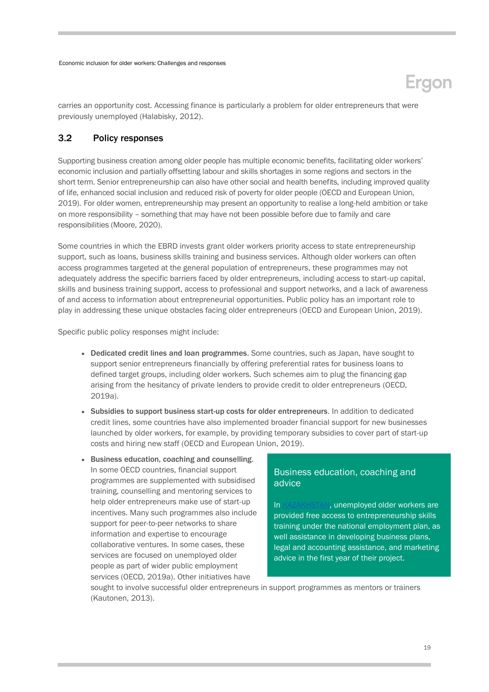## **Ergon**

carries an opportunity cost. Accessing finance is particularly a problem for older entrepreneurs that were previously unemployed (Halabisky, 2012).

### <span id="page-18-0"></span>3.2 Policy responses

Supporting business creation among older people has multiple economic benefits, facilitating older workers' economic inclusion and partially offsetting labour and skills shortages in some regions and sectors in the short term. Senior entrepreneurship can also have other social and health benefits, including improved quality of life, enhanced social inclusion and reduced risk of poverty for older people (OECD and European Union, 2019). For older women, entrepreneurship may present an opportunity to realise a long-held ambition or take on more responsibility – something that may have not been possible before due to family and care responsibilities (Moore, 2020).

Some countries in which the EBRD invests grant older workers priority access to state entrepreneurship support, such as loans, business skills training and business services. Although older workers can often access programmes targeted at the general population of entrepreneurs, these programmes may not adequately address the specific barriers faced by older entrepreneurs, including access to start-up capital, skills and business training support, access to professional and support networks, and a lack of awareness of and access to information about entrepreneurial opportunities. Public policy has an important role to play in addressing these unique obstacles facing older entrepreneurs (OECD and European Union, 2019).

Specific public policy responses might include:

- Dedicated credit lines and loan programmes. Some countries, such as Japan, have sought to support senior entrepreneurs financially by offering preferential rates for business loans to defined target groups, including older workers. Such schemes aim to plug the financing gap arising from the hesitancy of private lenders to provide credit to older entrepreneurs (OECD, 2019a).
- Subsidies to support business start-up costs for older entrepreneurs. In addition to dedicated credit lines, some countries have also implemented broader financial support for new businesses launched by older workers, for example, by providing temporary subsidies to cover part of start-up costs and hiring new staff (OECD and European Union, 2019).
- Business education, coaching and counselling. In some OECD countries, financial support programmes are supplemented with subsidised training, counselling and mentoring services to help older entrepreneurs make use of start-up incentives. Many such programmes also include support for peer-to-peer networks to share information and expertise to encourage collaborative ventures. In some cases, these services are focused on unemployed older people as part of wider public employment services (OECD, 2019a). Other initiatives have

### Business education, coaching and advice

I[n KAZAKHSTAN,](https://www.gov.kz/memleket/entities/enbek/documents/details/7818?lang=ru) unemployed older workers are provided free access to entrepreneurship skills training under the national employment plan, as well assistance in developing business plans, legal and accounting assistance, and marketing advice in the first year of their project.

sought to involve successful older entrepreneurs in support programmes as mentors or trainers (Kautonen, 2013).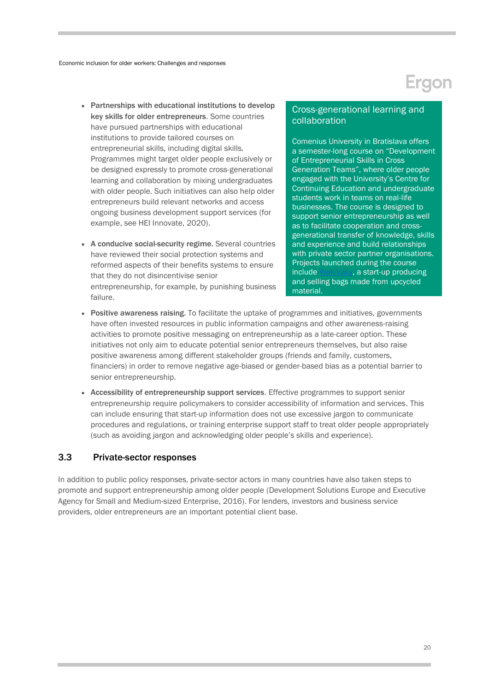- Partnerships with educational institutions to develop key skills for older entrepreneurs. Some countries have pursued partnerships with educational institutions to provide tailored courses on entrepreneurial skills, including digital skills. Programmes might target older people exclusively or be designed expressly to promote cross-generational learning and collaboration by mixing undergraduates with older people. Such initiatives can also help older entrepreneurs build relevant networks and access ongoing business development support services (for example, see HEI Innovate, 2020).
- A conducive social-security regime. Several countries have reviewed their social protection systems and reformed aspects of their benefits systems to ensure that they do not disincentivise senior entrepreneurship, for example, by punishing business failure.

### Cross-generational learning and collaboration

Comenius University in Bratislava offers a semester-long course on "Development of Entrepreneurial Skills in Cross Generation Teams", where older people engaged with the University's Centre for Continuing Education and undergraduate students work in teams on real-life businesses. The course is designed to support senior entrepreneurship as well as to facilitate cooperation and crossgenerational transfer of knowledge, skills and experience and build relationships with private sector partner organisations. Projects launched during the course includ[e WakiVaky,](https://heinnovate.eu/sites/default/files/HEInnovate_Comenius%20University%20Bratislava%20case%20study.pdf) a start-up producing and selling bags made from upcycled material.

- Positive awareness raising. To facilitate the uptake of programmes and initiatives, governments have often invested resources in public information campaigns and other awareness-raising activities to promote positive messaging on entrepreneurship as a late-career option. These initiatives not only aim to educate potential senior entrepreneurs themselves, but also raise positive awareness among different stakeholder groups (friends and family, customers, financiers) in order to remove negative age-biased or gender-based bias as a potential barrier to senior entrepreneurship.
- Accessibility of entrepreneurship support services. Effective programmes to support senior entrepreneurship require policymakers to consider accessibility of information and services. This can include ensuring that start-up information does not use excessive jargon to communicate procedures and regulations, or training enterprise support staff to treat older people appropriately (such as avoiding jargon and acknowledging older people's skills and experience).

### <span id="page-19-0"></span>3.3 Private-sector responses

In addition to public policy responses, private-sector actors in many countries have also taken steps to promote and support entrepreneurship among older people (Development Solutions Europe and Executive Agency for Small and Medium-sized Enterprise, 2016). For lenders, investors and business service providers, older entrepreneurs are an important potential client base.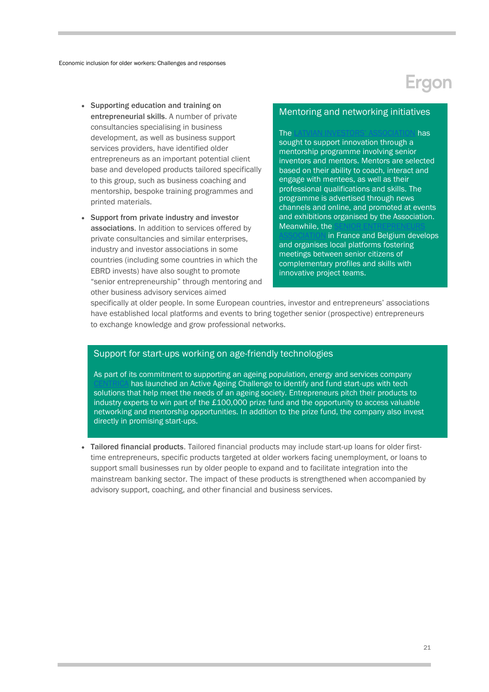- Supporting education and training on entrepreneurial skills. A number of private consultancies specialising in business development, as well as business support services providers, have identified older entrepreneurs as an important potential client base and developed products tailored specifically to this group, such as business coaching and mentorship, bespoke training programmes and printed materials.
- Support from private industry and investor associations. In addition to services offered by private consultancies and similar enterprises, industry and investor associations in some countries (including some countries in which the EBRD invests) have also sought to promote "senior entrepreneurship" through mentoring and other business advisory services aimed

### Mentoring and networking initiatives

#### The [LATVIAN INVESTORS' ASSOCIATION](https://op.europa.eu/en/publication-detail/-/publication/8fdadabd-9ac8-11e6-868c-01aa75ed71a1) has

sought to support innovation through a mentorship programme involving senior inventors and mentors. Mentors are selected based on their ability to coach, interact and engage with mentees, as well as their professional qualifications and skills. The programme is advertised through news channels and online, and promoted at events and exhibitions organised by the Association. Meanwhile, the

in France and Belgium develops and organises local platforms fostering meetings between senior citizens of complementary profiles and skills with innovative project teams.

specifically at older people. In some European countries, investor and entrepreneurs' associations have established local platforms and events to bring together senior (prospective) entrepreneurs to exchange knowledge and grow professional networks.

### Support for start-ups working on age-friendly technologies

As part of its commitment to supporting an ageing population, energy and services company has launched an Active Ageing Challenge to identify and fund start-ups with tech solutions that help meet the needs of an ageing society. Entrepreneurs pitch their products to industry experts to win part of the £100,000 prize fund and the opportunity to access valuable networking and mentorship opportunities. In addition to the prize fund, the company also invest directly in promising start-ups.

<span id="page-20-0"></span> Tailored financial products. Tailored financial products may include start-up loans for older firsttime entrepreneurs, specific products targeted at older workers facing unemployment, or loans to support small businesses run by older people to expand and to facilitate integration into the mainstream banking sector. The impact of these products is strengthened when accompanied by advisory support, coaching, and other financial and business services.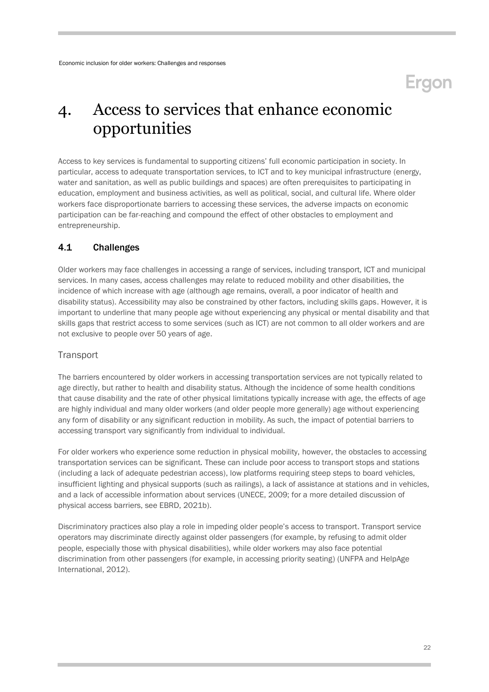### 4. Access to services that enhance economic opportunities

Access to key services is fundamental to supporting citizens' full economic participation in society. In particular, access to adequate transportation services, to ICT and to key municipal infrastructure (energy, water and sanitation, as well as public buildings and spaces) are often prerequisites to participating in education, employment and business activities, as well as political, social, and cultural life. Where older workers face disproportionate barriers to accessing these services, the adverse impacts on economic participation can be far-reaching and compound the effect of other obstacles to employment and entrepreneurship.

### <span id="page-21-0"></span>4.1 Challenges

Older workers may face challenges in accessing a range of services, including transport, ICT and municipal services. In many cases, access challenges may relate to reduced mobility and other disabilities, the incidence of which increase with age (although age remains, overall, a poor indicator of health and disability status). Accessibility may also be constrained by other factors, including skills gaps. However, it is important to underline that many people age without experiencing any physical or mental disability and that skills gaps that restrict access to some services (such as ICT) are not common to all older workers and are not exclusive to people over 50 years of age.

### **Transport**

The barriers encountered by older workers in accessing transportation services are not typically related to age directly, but rather to health and disability status. Although the incidence of some health conditions that cause disability and the rate of other physical limitations typically increase with age, the effects of age are highly individual and many older workers (and older people more generally) age without experiencing any form of disability or any significant reduction in mobility. As such, the impact of potential barriers to accessing transport vary significantly from individual to individual.

For older workers who experience some reduction in physical mobility, however, the obstacles to accessing transportation services can be significant. These can include poor access to transport stops and stations (including a lack of adequate pedestrian access), low platforms requiring steep steps to board vehicles, insufficient lighting and physical supports (such as railings), a lack of assistance at stations and in vehicles, and a lack of accessible information about services (UNECE, 2009; for a more detailed discussion of physical access barriers, see EBRD, 2021b).

Discriminatory practices also play a role in impeding older people's access to transport. Transport service operators may discriminate directly against older passengers (for example, by refusing to admit older people, especially those with physical disabilities), while older workers may also face potential discrimination from other passengers (for example, in accessing priority seating) (UNFPA and HelpAge International, 2012).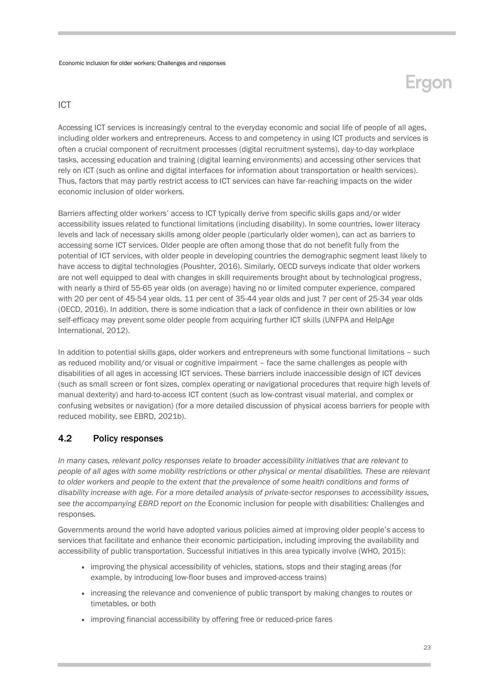### ICT

Accessing ICT services is increasingly central to the everyday economic and social life of people of all ages, including older workers and entrepreneurs. Access to and competency in using ICT products and services is often a crucial component of recruitment processes (digital recruitment systems), day-to-day workplace tasks, accessing education and training (digital learning environments) and accessing other services that rely on ICT (such as online and digital interfaces for information about transportation or health services). Thus, factors that may partly restrict access to ICT services can have far-reaching impacts on the wider economic inclusion of older workers.

Barriers affecting older workers' access to ICT typically derive from specific skills gaps and/or wider accessibility issues related to functional limitations (including disability). In some countries, lower literacy levels and lack of necessary skills among older people (particularly older women), can act as barriers to accessing some ICT services. Older people are often among those that do not benefit fully from the potential of ICT services, with older people in developing countries the demographic segment least likely to have access to digital technologies (Poushter, 2016). Similarly, OECD surveys indicate that older workers are not well equipped to deal with changes in skill requirements brought about by technological progress, with nearly a third of 55-65 year olds (on average) having no or limited computer experience, compared with 20 per cent of 45-54 year olds, 11 per cent of 35-44 year olds and just 7 per cent of 25-34 year olds (OECD, 2016). In addition, there is some indication that a lack of confidence in their own abilities or low self-efficacy may prevent some older people from acquiring further ICT skills (UNFPA and HelpAge International, 2012).

In addition to potential skills gaps, older workers and entrepreneurs with some functional limitations – such as reduced mobility and/or visual or cognitive impairment – face the same challenges as people with disabilities of all ages in accessing ICT services. These barriers include inaccessible design of ICT devices (such as small screen or font sizes, complex operating or navigational procedures that require high levels of manual dexterity) and hard-to-access ICT content (such as low-contrast visual material, and complex or confusing websites or navigation) (for a more detailed discussion of physical access barriers for people with reduced mobility, see EBRD, 2021b).

### <span id="page-22-0"></span>4.2 Policy responses

*In many cases, relevant policy responses relate to broader accessibility initiatives that are relevant to people of all ages with some mobility restrictions or other physical or mental disabilities. These are relevant to older workers and people to the extent that the prevalence of some health conditions and forms of disability increase with age. For a more detailed analysis of private-sector responses to accessibility issues, see the accompanying EBRD report on the* Economic inclusion for people with disabilities: Challenges and responses*.* 

Governments around the world have adopted various policies aimed at improving older people's access to services that facilitate and enhance their economic participation, including improving the availability and accessibility of public transportation. Successful initiatives in this area typically involve (WHO, 2015):

- improving the physical accessibility of vehicles, stations, stops and their staging areas (for example, by introducing low-floor buses and improved-access trains)
- increasing the relevance and convenience of public transport by making changes to routes or timetables, or both
- improving financial accessibility by offering free or reduced-price fares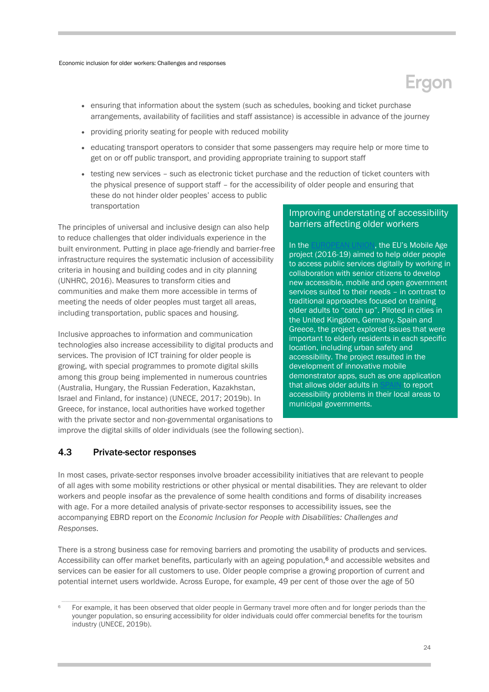- ensuring that information about the system (such as schedules, booking and ticket purchase arrangements, availability of facilities and staff assistance) is accessible in advance of the journey
- providing priority seating for people with reduced mobility
- educating transport operators to consider that some passengers may require help or more time to get on or off public transport, and providing appropriate training to support staff
- testing new services such as electronic ticket purchase and the reduction of ticket counters with the physical presence of support staff – for the accessibility of older people and ensuring that these do not hinder older peoples' access to public transportation

The principles of universal and inclusive design can also help to reduce challenges that older individuals experience in the built environment. Putting in place age-friendly and barrier-free infrastructure requires the systematic inclusion of accessibility criteria in housing and building codes and in city planning (UNHRC, 2016). Measures to transform cities and communities and make them more accessible in terms of meeting the needs of older peoples must target all areas, including transportation, public spaces and housing.

Inclusive approaches to information and communication technologies also increase accessibility to digital products and services. The provision of ICT training for older people is growing, with special programmes to promote digital skills among this group being implemented in numerous countries (Australia, Hungary, the Russian Federation, Kazakhstan, Israel and Finland, for instance) (UNECE, 2017; 2019b). In Greece, for instance, local authorities have worked together with the private sector and non-governmental organisations to

### Improving understating of accessibility barriers affecting older workers

In th[e EUROPEAN UNION](https://cordis.europa.eu/project/id/693319), the EU's Mobile Age project (2016-19) aimed to help older people to access public services digitally by working in collaboration with senior citizens to develop new accessible, mobile and open government services suited to their needs – in contrast to traditional approaches focused on training older adults to "catch up". Piloted in cities in the United Kingdom, Germany, Spain and Greece, the project explored issues that were important to elderly residents in each specific location, including urban safety and accessibility. The project resulted in the development of innovative mobile demonstrator apps, such as one application that allows older adults in [SPAIN](https://www.mobile-age.eu/) to report accessibility problems in their local areas to municipal governments.

improve the digital skills of older individuals (see the following section).

### <span id="page-23-0"></span>4.3 Private-sector responses

In most cases, private-sector responses involve broader accessibility initiatives that are relevant to people of all ages with some mobility restrictions or other physical or mental disabilities. They are relevant to older workers and people insofar as the prevalence of some health conditions and forms of disability increases with age. For a more detailed analysis of private-sector responses to accessibility issues, see the accompanying EBRD report on the *Economic Inclusion for People with Disabilities: Challenges and Responses*.

There is a strong business case for removing barriers and promoting the usability of products and services. Accessibility can offer market benefits, particularly with an ageing population,<sup>6</sup> and accessible websites and services can be easier for all customers to use. Older people comprise a growing proportion of current and potential internet users worldwide. Across Europe, for example, 49 per cent of those over the age of 50

For example, it has been observed that older people in Germany travel more often and for longer periods than the younger population, so ensuring accessibility for older individuals could offer commercial benefits for the tourism industry (UNECE, 2019b).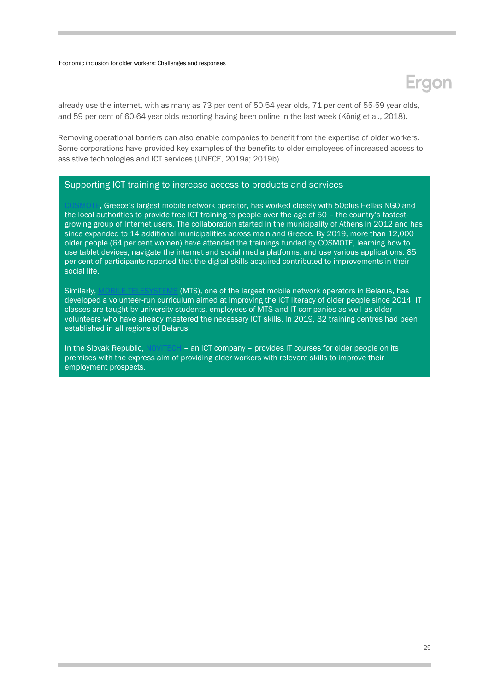## Ergon

already use the internet, with as many as 73 per cent of 50-54 year olds, 71 per cent of 55-59 year olds, and 59 per cent of 60-64 year olds reporting having been online in the last week (König et al., 2018).

Removing operational barriers can also enable companies to benefit from the expertise of older workers. Some corporations have provided key examples of the benefits to older employees of increased access to assistive technologies and ICT services (UNECE, 2019a; 2019b).

### Supporting ICT training to increase access to products and services

. Greece's largest mobile network operator, has worked closely with 50plus Hellas NGO and the local authorities to provide free ICT training to people over the age of 50 – the country's fastestgrowing group of Internet users. The collaboration started in the municipality of Athens in 2012 and has since expanded to 14 additional municipalities across mainland Greece. By 2019, more than 12,000 older people (64 per cent women) have attended the trainings funded by COSMOTE, learning how to use tablet devices, navigate the internet and social media platforms, and use various applications. 85 per cent of participants reported that the digital skills acquired contributed to improvements in their social life.

Similarly[, MOBILE TELESYSTEMS](http://www.unece.org/fileadmin/DAM/pau/age/Capacity_building/Road_Maps/Belarus/ECE_WG_32.pdf) (MTS), one of the largest mobile network operators in Belarus, has developed a volunteer-run curriculum aimed at improving the ICT literacy of older people since 2014. IT classes are taught by university students, employees of MTS and IT companies as well as older volunteers who have already mastered the necessary ICT skills. In 2019, 32 training centres had been established in all regions of Belarus.

<span id="page-24-0"></span>In the Slovak Republic[, NOVITECH](http://www.ageingatwork.eu/resources/a-guide-to-good-practice-in-age-management.pdf) – an ICT company – provides IT courses for older people on its premises with the express aim of providing older workers with relevant skills to improve their employment prospects.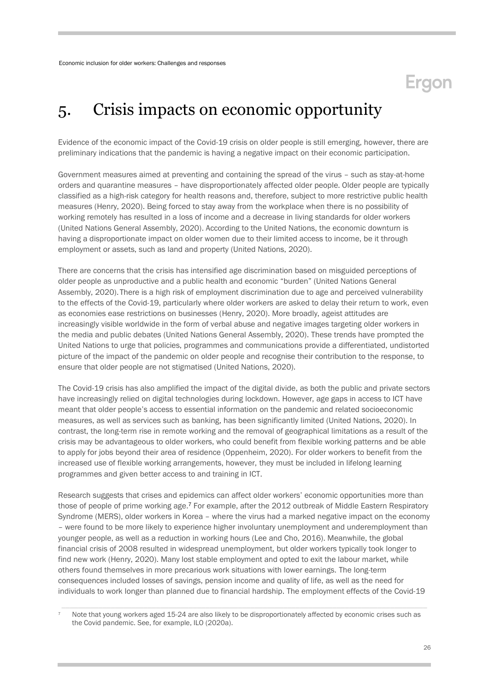### 5. Crisis impacts on economic opportunity

Evidence of the economic impact of the Covid-19 crisis on older people is still emerging, however, there are preliminary indications that the pandemic is having a negative impact on their economic participation.

Government measures aimed at preventing and containing the spread of the virus – such as stay-at-home orders and quarantine measures – have disproportionately affected older people. Older people are typically classified as a high-risk category for health reasons and, therefore, subject to more restrictive public health measures (Henry, 2020). Being forced to stay away from the workplace when there is no possibility of working remotely has resulted in a loss of income and a decrease in living standards for older workers (United Nations General Assembly, 2020). According to the United Nations, the economic downturn is having a disproportionate impact on older women due to their limited access to income, be it through employment or assets, such as land and property (United Nations, 2020).

There are concerns that the crisis has intensified age discrimination based on misguided perceptions of older people as unproductive and a public health and economic "burden" (United Nations General Assembly, 2020). There is a high risk of employment discrimination due to age and perceived vulnerability to the effects of the Covid-19, particularly where older workers are asked to delay their return to work, even as economies ease restrictions on businesses (Henry, 2020). More broadly, ageist attitudes are increasingly visible worldwide in the form of verbal abuse and negative images targeting older workers in the media and public debates (United Nations General Assembly, 2020). These trends have prompted the United Nations to urge that policies, programmes and communications provide a differentiated, undistorted picture of the impact of the pandemic on older people and recognise their contribution to the response, to ensure that older people are not stigmatised (United Nations, 2020).

The Covid-19 crisis has also amplified the impact of the digital divide, as both the public and private sectors have increasingly relied on digital technologies during lockdown. However, age gaps in access to ICT have meant that older people's access to essential information on the pandemic and related socioeconomic measures, as well as services such as banking, has been significantly limited (United Nations, 2020). In contrast, the long-term rise in remote working and the removal of geographical limitations as a result of the crisis may be advantageous to older workers, who could benefit from flexible working patterns and be able to apply for jobs beyond their area of residence (Oppenheim, 2020). For older workers to benefit from the increased use of flexible working arrangements, however, they must be included in lifelong learning programmes and given better access to and training in ICT.

Research suggests that crises and epidemics can affect older workers' economic opportunities more than those of people of prime working age.<sup>7</sup> For example, after the 2012 outbreak of Middle Eastern Respiratory Syndrome (MERS), older workers in Korea – where the virus had a marked negative impact on the economy – were found to be more likely to experience higher involuntary unemployment and underemployment than younger people, as well as a reduction in working hours (Lee and Cho, 2016). Meanwhile, the global financial crisis of 2008 resulted in widespread unemployment, but older workers typically took longer to find new work (Henry, 2020). Many lost stable employment and opted to exit the labour market, while others found themselves in more precarious work situations with lower earnings. The long-term consequences included losses of savings, pension income and quality of life, as well as the need for individuals to work longer than planned due to financial hardship. The employment effects of the Covid-19

Note that young workers aged 15-24 are also likely to be disproportionately affected by economic crises such as the Covid pandemic. See, for example, ILO (2020a).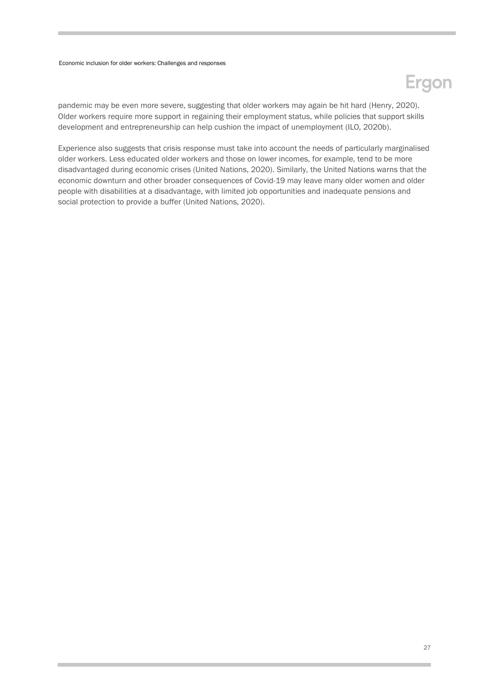## Ergon

pandemic may be even more severe, suggesting that older workers may again be hit hard (Henry, 2020). Older workers require more support in regaining their employment status, while policies that support skills development and entrepreneurship can help cushion the impact of unemployment (ILO, 2020b).

Experience also suggests that crisis response must take into account the needs of particularly marginalised older workers. Less educated older workers and those on lower incomes, for example, tend to be more disadvantaged during economic crises (United Nations, 2020). Similarly, the United Nations warns that the economic downturn and other broader consequences of Covid-19 may leave many older women and older people with disabilities at a disadvantage, with limited job opportunities and inadequate pensions and social protection to provide a buffer (United Nations, 2020).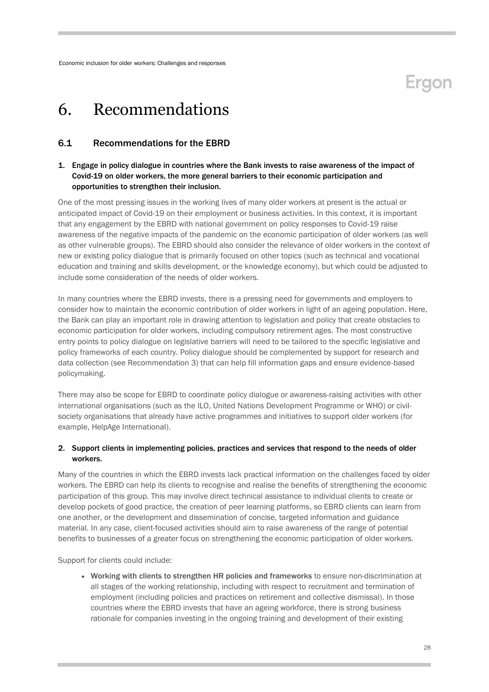### **Eraon**

### <span id="page-27-0"></span>6. Recommendations

### <span id="page-27-1"></span>6.1 Recommendations for the EBRD

### 1. Engage in policy dialogue in countries where the Bank invests to raise awareness of the impact of Covid-19 on older workers, the more general barriers to their economic participation and opportunities to strengthen their inclusion.

One of the most pressing issues in the working lives of many older workers at present is the actual or anticipated impact of Covid-19 on their employment or business activities. In this context, it is important that any engagement by the EBRD with national government on policy responses to Covid-19 raise awareness of the negative impacts of the pandemic on the economic participation of older workers (as well as other vulnerable groups). The EBRD should also consider the relevance of older workers in the context of new or existing policy dialogue that is primarily focused on other topics (such as technical and vocational education and training and skills development, or the knowledge economy), but which could be adjusted to include some consideration of the needs of older workers.

In many countries where the EBRD invests, there is a pressing need for governments and employers to consider how to maintain the economic contribution of older workers in light of an ageing population. Here, the Bank can play an important role in drawing attention to legislation and policy that create obstacles to economic participation for older workers, including compulsory retirement ages. The most constructive entry points to policy dialogue on legislative barriers will need to be tailored to the specific legislative and policy frameworks of each country. Policy dialogue should be complemented by support for research and data collection (see Recommendation 3) that can help fill information gaps and ensure evidence-based policymaking.

There may also be scope for EBRD to coordinate policy dialogue or awareness-raising activities with other international organisations (such as the ILO, United Nations Development Programme or WHO) or civilsociety organisations that already have active programmes and initiatives to support older workers (for example, HelpAge International).

### 2. Support clients in implementing policies, practices and services that respond to the needs of older workers.

Many of the countries in which the EBRD invests lack practical information on the challenges faced by older workers. The EBRD can help its clients to recognise and realise the benefits of strengthening the economic participation of this group. This may involve direct technical assistance to individual clients to create or develop pockets of good practice, the creation of peer learning platforms, so EBRD clients can learn from one another, or the development and dissemination of concise, targeted information and guidance material. In any case, client-focused activities should aim to raise awareness of the range of potential benefits to businesses of a greater focus on strengthening the economic participation of older workers.

Support for clients could include:

 Working with clients to strengthen HR policies and frameworks to ensure non-discrimination at all stages of the working relationship, including with respect to recruitment and termination of employment (including policies and practices on retirement and collective dismissal). In those countries where the EBRD invests that have an ageing workforce, there is strong business rationale for companies investing in the ongoing training and development of their existing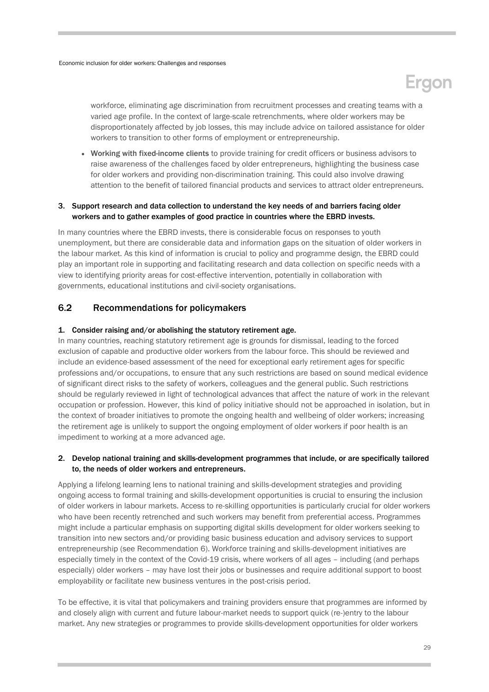

workforce, eliminating age discrimination from recruitment processes and creating teams with a varied age profile. In the context of large-scale retrenchments, where older workers may be disproportionately affected by job losses, this may include advice on tailored assistance for older workers to transition to other forms of employment or entrepreneurship.

 Working with fixed-income clients to provide training for credit officers or business advisors to raise awareness of the challenges faced by older entrepreneurs, highlighting the business case for older workers and providing non-discrimination training. This could also involve drawing attention to the benefit of tailored financial products and services to attract older entrepreneurs.

### 3. Support research and data collection to understand the key needs of and barriers facing older workers and to gather examples of good practice in countries where the EBRD invests.

In many countries where the EBRD invests, there is considerable focus on responses to youth unemployment, but there are considerable data and information gaps on the situation of older workers in the labour market. As this kind of information is crucial to policy and programme design, the EBRD could play an important role in supporting and facilitating research and data collection on specific needs with a view to identifying priority areas for cost-effective intervention, potentially in collaboration with governments, educational institutions and civil-society organisations.

### <span id="page-28-0"></span>6.2 Recommendations for policymakers

### 1. Consider raising and/or abolishing the statutory retirement age.

In many countries, reaching statutory retirement age is grounds for dismissal, leading to the forced exclusion of capable and productive older workers from the labour force. This should be reviewed and include an evidence-based assessment of the need for exceptional early retirement ages for specific professions and/or occupations, to ensure that any such restrictions are based on sound medical evidence of significant direct risks to the safety of workers, colleagues and the general public. Such restrictions should be regularly reviewed in light of technological advances that affect the nature of work in the relevant occupation or profession. However, this kind of policy initiative should not be approached in isolation, but in the context of broader initiatives to promote the ongoing health and wellbeing of older workers; increasing the retirement age is unlikely to support the ongoing employment of older workers if poor health is an impediment to working at a more advanced age.

### 2. Develop national training and skills-development programmes that include, or are specifically tailored to, the needs of older workers and entrepreneurs.

Applying a lifelong learning lens to national training and skills-development strategies and providing ongoing access to formal training and skills-development opportunities is crucial to ensuring the inclusion of older workers in labour markets. Access to re-skilling opportunities is particularly crucial for older workers who have been recently retrenched and such workers may benefit from preferential access. Programmes might include a particular emphasis on supporting digital skills development for older workers seeking to transition into new sectors and/or providing basic business education and advisory services to support entrepreneurship (see Recommendation 6). Workforce training and skills-development initiatives are especially timely in the context of the Covid-19 crisis, where workers of all ages – including (and perhaps especially) older workers – may have lost their jobs or businesses and require additional support to boost employability or facilitate new business ventures in the post-crisis period.

To be effective, it is vital that policymakers and training providers ensure that programmes are informed by and closely align with current and future labour-market needs to support quick (re-)entry to the labour market. Any new strategies or programmes to provide skills-development opportunities for older workers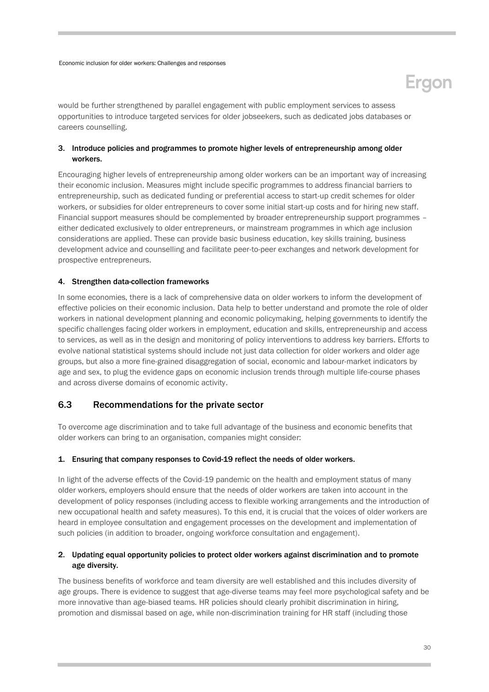would be further strengthened by parallel engagement with public employment services to assess opportunities to introduce targeted services for older jobseekers, such as dedicated jobs databases or careers counselling.

### 3. Introduce policies and programmes to promote higher levels of entrepreneurship among older workers.

Encouraging higher levels of entrepreneurship among older workers can be an important way of increasing their economic inclusion. Measures might include specific programmes to address financial barriers to entrepreneurship, such as dedicated funding or preferential access to start-up credit schemes for older workers, or subsidies for older entrepreneurs to cover some initial start-up costs and for hiring new staff. Financial support measures should be complemented by broader entrepreneurship support programmes – either dedicated exclusively to older entrepreneurs, or mainstream programmes in which age inclusion considerations are applied. These can provide basic business education, key skills training, business development advice and counselling and facilitate peer-to-peer exchanges and network development for prospective entrepreneurs.

### 4. Strengthen data-collection frameworks

In some economies, there is a lack of comprehensive data on older workers to inform the development of effective policies on their economic inclusion. Data help to better understand and promote the role of older workers in national development planning and economic policymaking, helping governments to identify the specific challenges facing older workers in employment, education and skills, entrepreneurship and access to services, as well as in the design and monitoring of policy interventions to address key barriers. Efforts to evolve national statistical systems should include not just data collection for older workers and older age groups, but also a more fine-grained disaggregation of social, economic and labour-market indicators by age and sex, to plug the evidence gaps on economic inclusion trends through multiple life-course phases and across diverse domains of economic activity.

### <span id="page-29-0"></span>6.3 Recommendations for the private sector

To overcome age discrimination and to take full advantage of the business and economic benefits that older workers can bring to an organisation, companies might consider:

#### 1. Ensuring that company responses to Covid-19 reflect the needs of older workers.

In light of the adverse effects of the Covid-19 pandemic on the health and employment status of many older workers, employers should ensure that the needs of older workers are taken into account in the development of policy responses (including access to flexible working arrangements and the introduction of new occupational health and safety measures). To this end, it is crucial that the voices of older workers are heard in employee consultation and engagement processes on the development and implementation of such policies (in addition to broader, ongoing workforce consultation and engagement).

### 2. Updating equal opportunity policies to protect older workers against discrimination and to promote age diversity.

The business benefits of workforce and team diversity are well established and this includes diversity of age groups. There is evidence to suggest that age-diverse teams may feel more psychological safety and be more innovative than age-biased teams. HR policies should clearly prohibit discrimination in hiring, promotion and dismissal based on age, while non-discrimination training for HR staff (including those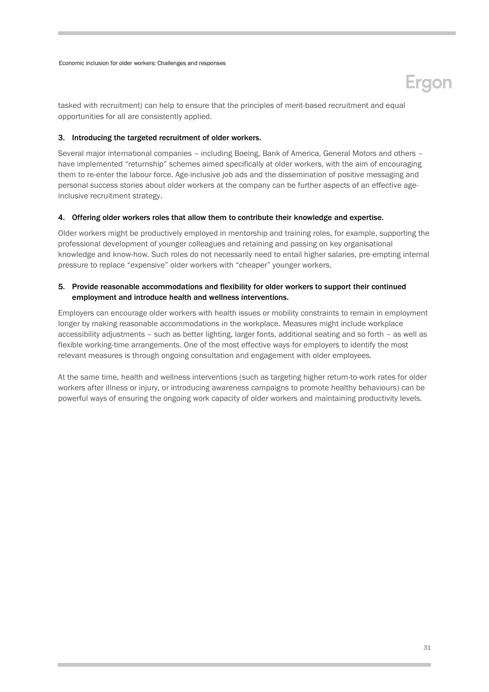## **Ergon**

tasked with recruitment) can help to ensure that the principles of merit-based recruitment and equal opportunities for all are consistently applied.

### 3. Introducing the targeted recruitment of older workers.

Several major international companies – including Boeing, Bank of America, General Motors and others – have implemented "returnship" schemes aimed specifically at older workers, with the aim of encouraging them to re-enter the labour force. Age-inclusive job ads and the dissemination of positive messaging and personal success stories about older workers at the company can be further aspects of an effective ageinclusive recruitment strategy.

#### 4. Offering older workers roles that allow them to contribute their knowledge and expertise.

Older workers might be productively employed in mentorship and training roles, for example, supporting the professional development of younger colleagues and retaining and passing on key organisational knowledge and know-how. Such roles do not necessarily need to entail higher salaries, pre-empting internal pressure to replace "expensive" older workers with "cheaper" younger workers.

### 5. Provide reasonable accommodations and flexibility for older workers to support their continued employment and introduce health and wellness interventions.

Employers can encourage older workers with health issues or mobility constraints to remain in employment longer by making reasonable accommodations in the workplace. Measures might include workplace accessibility adjustments – such as better lighting, larger fonts, additional seating and so forth – as well as flexible working-time arrangements. One of the most effective ways for employers to identify the most relevant measures is through ongoing consultation and engagement with older employees.

At the same time, health and wellness interventions (such as targeting higher return-to-work rates for older workers after illness or injury, or introducing awareness campaigns to promote healthy behaviours) can be powerful ways of ensuring the ongoing work capacity of older workers and maintaining productivity levels.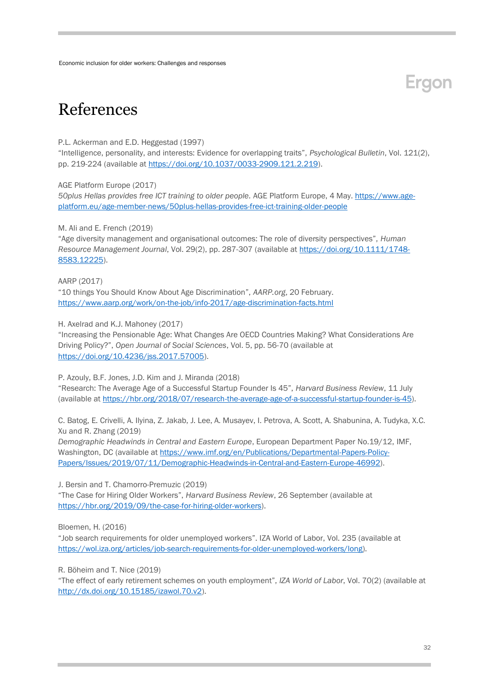### References

#### P.L. Ackerman and E.D. Heggestad (1997)

"Intelligence, personality, and interests: Evidence for overlapping traits", *Psychological Bulletin*, Vol. 121(2), pp. 219-224 (available at [https://doi.org/10.1037/0033-2909.121.2.219\)](https://doi.org/10.1037/0033-2909.121.2.219).

AGE Platform Europe (2017)

*50plus Hellas provides free ICT training to older people.* AGE Platform Europe, 4 May. [https://www.age](https://www.age-platform.eu/age-member-news/50plus-hellas-provides-free-ict-training-older-people)[platform.eu/age-member-news/50plus-hellas-provides-free-ict-training-older-people](https://www.age-platform.eu/age-member-news/50plus-hellas-provides-free-ict-training-older-people)

M. Ali and E. French (2019)

"Age diversity management and organisational outcomes: The role of diversity perspectives", *Human Resource Management Journal*, Vol. 29(2), pp. 287-307 (available at [https://doi.org/10.1111/1748-](https://doi.org/10.1111/1748-8583.12225) [8583.12225\)](https://doi.org/10.1111/1748-8583.12225).

AARP (2017)

"10 things You Should Know About Age Discrimination", *AARP.org*, 20 February. <https://www.aarp.org/work/on-the-job/info-2017/age-discrimination-facts.html>

H. Axelrad and K.J. Mahoney (2017)

"Increasing the Pensionable Age: What Changes Are OECD Countries Making? What Considerations Are Driving Policy?", *Open Journal of Social Sciences*, Vol. 5, pp. 56-70 (available at [https://doi.org/10.4236/jss.2017.57005\)](https://doi.org/10.4236/jss.2017.57005).

P. Azouly, B.F. Jones, J.D. Kim and J. Miranda (2018)

"Research: The Average Age of a Successful Startup Founder Is 45", *Harvard Business Review*, 11 July (available at [https://hbr.org/2018/07/research-the-average-age-of-a-successful-startup-founder-is-45\)](https://hbr.org/2018/07/research-the-average-age-of-a-successful-startup-founder-is-45).

C. Batog, E. Crivelli, A. Ilyina, Z. Jakab, J. Lee, A. Musayev, I. Petrova, A. Scott, A. Shabunina, A. Tudyka, X.C. Xu and R. Zhang (2019)

*Demographic Headwinds in Central and Eastern Europe*, European Department Paper No.19/12, IMF, Washington, DC (available a[t https://www.imf.org/en/Publications/Departmental-Papers-Policy-](https://www.imf.org/en/Publications/Departmental-Papers-Policy-Papers/Issues/2019/07/11/Demographic-Headwinds-in-Central-and-Eastern-Europe-46992)[Papers/Issues/2019/07/11/Demographic-Headwinds-in-Central-and-Eastern-Europe-46992\)](https://www.imf.org/en/Publications/Departmental-Papers-Policy-Papers/Issues/2019/07/11/Demographic-Headwinds-in-Central-and-Eastern-Europe-46992).

J. Bersin and T. Chamorro-Premuzic (2019)

"The Case for Hiring Older Workers", *Harvard Business Review*, 26 September (available at [https://hbr.org/2019/09/the-case-for-hiring-older-workers\)](https://hbr.org/2019/09/the-case-for-hiring-older-workers).

Bloemen, H. (2016)

"Job search requirements for older unemployed workers". IZA World of Labor, Vol. 235 (available at [https://wol.iza.org/articles/job-search-requirements-for-older-unemployed-workers/long\)](https://wol.iza.org/articles/job-search-requirements-for-older-unemployed-workers/long).

R. Böheim and T. Nice (2019)

"The effect of early retirement schemes on youth employment", *IZA World of Labor*, Vol. 70(2) (available at [http://dx.doi.org/10.15185/izawol.70.v2\)](http://dx.doi.org/10.15185/izawol.70.v2).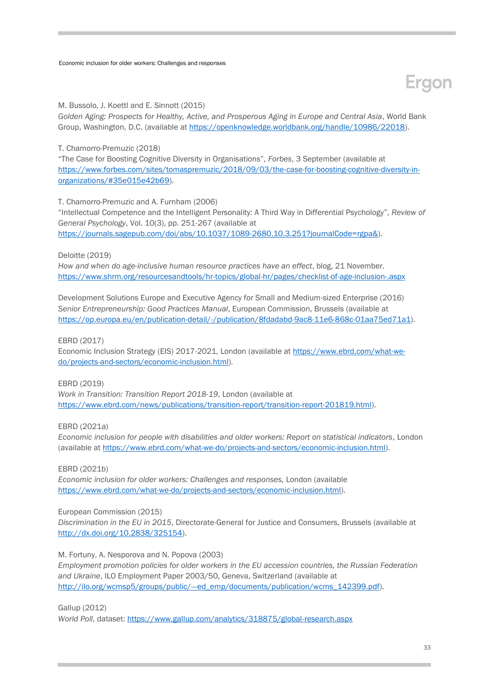## **Ergon**

### M. Bussolo, J. Koettl and E. Sinnott (2015)

*Golden Aging: Prospects for Healthy, Active, and Prosperous Aging in Europe and Central Asia*, World Bank Group, Washington, D.C. (available at [https://openknowledge.worldbank.org/handle/10986/22018\)](https://openknowledge.worldbank.org/handle/10986/22018).

T. Chamorro-Premuzic (2018)

"The Case for Boosting Cognitive Diversity in Organisations", *Forbes*, 3 September (available at [https://www.forbes.com/sites/tomaspremuzic/2018/09/03/the-case-for-boosting-cognitive-diversity-in](https://www.forbes.com/sites/tomaspremuzic/2018/09/03/the-case-for-boosting-cognitive-diversity-in-organizations/#35e015e42b69)[organizations/#35e015e42b69\)](https://www.forbes.com/sites/tomaspremuzic/2018/09/03/the-case-for-boosting-cognitive-diversity-in-organizations/#35e015e42b69).

T. Chamorro-Premuzic and A. Furnham (2006)

"Intellectual Competence and the Intelligent Personality: A Third Way in Differential Psychology", *Review of General Psychology*, Vol. 10(3), pp. 251-267 (available at [https://journals.sagepub.com/doi/abs/10.1037/1089-2680.10.3.251?journalCode=rgpa&\)](https://journals.sagepub.com/doi/abs/10.1037/1089-2680.10.3.251?journalCode=rgpa&).

Deloitte (2019)

*How and when do age-inclusive human resource practices have an effect*, blog, 21 November. <https://www.shrm.org/resourcesandtools/hr-topics/global-hr/pages/checklist-of-age-inclusion-.aspx>

Development Solutions Europe and Executive Agency for Small and Medium-sized Enterprise (2016) *Senior Entrepreneurship: Good Practices Manual*, European Commission, Brussels (available at [https://op.europa.eu/en/publication-detail/-/publication/8fdadabd-9ac8-11e6-868c-01aa75ed71a1\)](https://op.europa.eu/en/publication-detail/-/publication/8fdadabd-9ac8-11e6-868c-01aa75ed71a1).

### EBRD (2017)

Economic Inclusion Strategy (EIS) 2017-2021, London (available a[t https://www.ebrd.com/what-we](https://www.ebrd.com/what-we-do/projects-and-sectors/economic-inclusion.html)[do/projects-and-sectors/economic-inclusion.html\)](https://www.ebrd.com/what-we-do/projects-and-sectors/economic-inclusion.html).

EBRD (2019)

*Work in Transition: Transition Report 2018-19*, London (available at [https://www.ebrd.com/news/publications/transition-report/transition-report-201819.html\)](https://www.ebrd.com/news/publications/transition-report/transition-report-201819.html).

EBRD (2021a)

*Economic inclusion for people with disabilities and older workers: Report on statistical indicators*, London (available at [https://www.ebrd.com/what-we-do/projects-and-sectors/economic-inclusion.html\)](https://www.ebrd.com/what-we-do/projects-and-sectors/economic-inclusion.html).

EBRD (2021b)

*Economic inclusion for older workers: Challenges and responses,* London (available [https://www.ebrd.com/what-we-do/projects-and-sectors/economic-inclusion.html\)](https://www.ebrd.com/what-we-do/projects-and-sectors/economic-inclusion.html).

### European Commission (2015)

*Discrimination in the EU in 2015*, Directorate-General for Justice and Consumers, Brussels (available at [http://dx.doi.org/10.2838/325154\)](http://dx.doi.org/10.2838/325154).

#### M. Fortuny, A. Nesporova and N. Popova (2003)

*Employment promotion policies for older workers in the EU accession countries, the Russian Federation and Ukraine*, ILO Employment Paper 2003/50, Geneva, Switzerland (available at http://ilo.org/wcmsp5/groups/public/--ed\_emp/documents/publication/wcms\_142399.pdf).

Gallup (2012)

*World Poll*, dataset: <https://www.gallup.com/analytics/318875/global-research.aspx>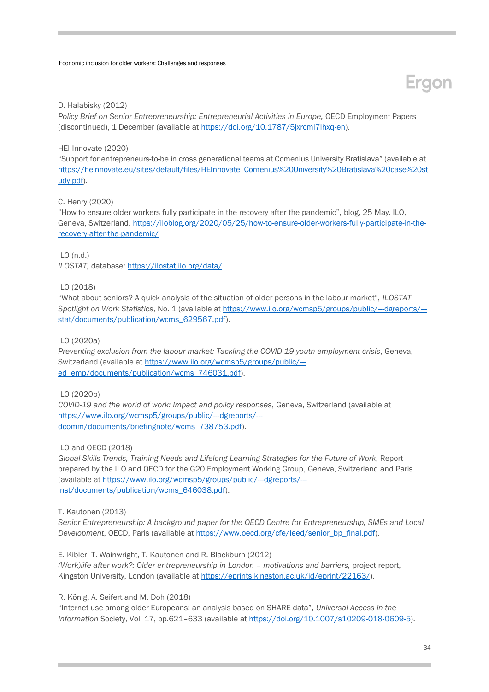

#### D. Halabisky (2012)

*Policy Brief on Senior Entrepreneurship: Entrepreneurial Activities in Europe,* OECD Employment Papers (discontinued), 1 December (available a[t https://doi.org/10.1787/5jxrcml7lhxq-en\)](https://doi.org/10.1787/5jxrcml7lhxq-en).

### HEI Innovate (2020)

"Support for entrepreneurs-to-be in cross generational teams at Comenius University Bratislava" (available at [https://heinnovate.eu/sites/default/files/HEInnovate\\_Comenius%20University%20Bratislava%20case%20st](https://heinnovate.eu/sites/default/files/HEInnovate_Comenius%20University%20Bratislava%20case%20study.pdf) [udy.pdf\)](https://heinnovate.eu/sites/default/files/HEInnovate_Comenius%20University%20Bratislava%20case%20study.pdf).

#### C. Henry (2020)

"How to ensure older workers fully participate in the recovery after the pandemic", blog, 25 May. ILO, Geneva, Switzerland. [https://iloblog.org/2020/05/25/how-to-ensure-older-workers-fully-participate-in-the](https://iloblog.org/2020/05/25/how-to-ensure-older-workers-fully-participate-in-the-recovery-after-the-pandemic/)[recovery-after-the-pandemic/](https://iloblog.org/2020/05/25/how-to-ensure-older-workers-fully-participate-in-the-recovery-after-the-pandemic/)

ILO (n.d.)

*ILOSTAT,* database:<https://ilostat.ilo.org/data/>

#### ILO (2018)

"What about seniors? A quick analysis of the situation of older persons in the labour market", *ILOSTAT Spotlight on Work Statistics*, No. 1 (available at [https://www.ilo.org/wcmsp5/groups/public/---dgreports/--](https://www.ilo.org/wcmsp5/groups/public/---dgreports/---stat/documents/publication/wcms_629567.pdf) [stat/documents/publication/wcms\\_629567.pdf\)](https://www.ilo.org/wcmsp5/groups/public/---dgreports/---stat/documents/publication/wcms_629567.pdf).

#### ILO (2020a)

*Preventing exclusion from the labour market: Tackling the COVID-19 youth employment crisis*, Geneva, Switzerland (available at [https://www.ilo.org/wcmsp5/groups/public/--](https://www.ilo.org/wcmsp5/groups/public/---ed_emp/documents/publication/wcms_746031.pdf) [ed\\_emp/documents/publication/wcms\\_746031.pdf\)](https://www.ilo.org/wcmsp5/groups/public/---ed_emp/documents/publication/wcms_746031.pdf).

#### ILO (2020b)

*COVID-19 and the world of work: Impact and policy responses*, Geneva, Switzerland (available at [https://www.ilo.org/wcmsp5/groups/public/---dgreports/--](https://www.ilo.org/wcmsp5/groups/public/---dgreports/---dcomm/documents/briefingnote/wcms_738753.pdf) [dcomm/documents/briefingnote/wcms\\_738753.pdf\)](https://www.ilo.org/wcmsp5/groups/public/---dgreports/---dcomm/documents/briefingnote/wcms_738753.pdf).

#### ILO and OECD (2018)

*Global Skills Trends, Training Needs and Lifelong Learning Strategies for the Future of Work*, Report prepared by the ILO and OECD for the G20 Employment Working Group, Geneva, Switzerland and Paris (available at [https://www.ilo.org/wcmsp5/groups/public/---dgreports/--](https://www.ilo.org/wcmsp5/groups/public/---dgreports/---inst/documents/publication/wcms_646038.pdf) [inst/documents/publication/wcms\\_646038.pdf\)](https://www.ilo.org/wcmsp5/groups/public/---dgreports/---inst/documents/publication/wcms_646038.pdf).

#### T. Kautonen (2013)

*Senior Entrepreneurship: A background paper for the OECD Centre for Entrepreneurship, SMEs and Local Development*, OECD, Paris (available at [https://www.oecd.org/cfe/leed/senior\\_bp\\_final.pdf\)](https://www.oecd.org/cfe/leed/senior_bp_final.pdf).

E. Kibler, T. Wainwright, T. Kautonen and R. Blackburn (2012)

*(Work)life after work?: Older entrepreneurship in London – motivations and barriers, project report,* Kingston University, London (available at [https://eprints.kingston.ac.uk/id/eprint/22163/\)](https://eprints.kingston.ac.uk/id/eprint/22163/).

R. König, A. Seifert and M. Doh (2018)

"Internet use among older Europeans: an analysis based on SHARE data", *Universal Access in the Information* Society, Vol. 17, pp.621–633 (available at [https://doi.org/10.1007/s10209-018-0609-5\)](https://doi.org/10.1007/s10209-018-0609-5).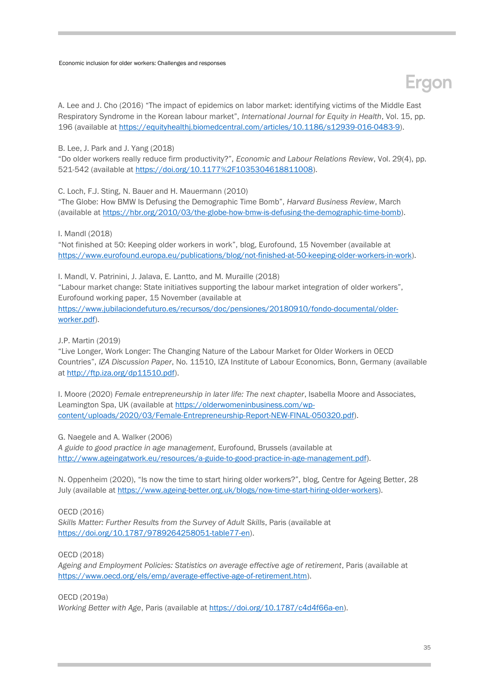### **Eraon**

A. Lee and J. Cho (2016) "The impact of epidemics on labor market: identifying victims of the Middle East Respiratory Syndrome in the Korean labour market", *International Journal for Equity in Health*, Vol. 15, pp. 196 (available at [https://equityhealthj.biomedcentral.com/articles/10.1186/s12939-016-0483-9\)](https://equityhealthj.biomedcentral.com/articles/10.1186/s12939-016-0483-9).

B. Lee, J. Park and J. Yang (2018)

"Do older workers really reduce firm productivity?", *Economic and Labour Relations Review*, Vol. 29(4), pp. 521-542 (available at [https://doi.org/10.1177%2F1035304618811008\)](https://doi.org/10.1177%2F1035304618811008).

C. Loch, F.J. Sting, N. Bauer and H. Mauermann (2010)

"The Globe: How BMW Is Defusing the Demographic Time Bomb", *Harvard Business Review*, March (available at [https://hbr.org/2010/03/the-globe-how-bmw-is-defusing-the-demographic-time-bomb\)](https://hbr.org/2010/03/the-globe-how-bmw-is-defusing-the-demographic-time-bomb).

I. Mandl (2018)

"Not finished at 50: Keeping older workers in work", blog, Eurofound, 15 November (available at [https://www.eurofound.europa.eu/publications/blog/not-finished-at-50-keeping-older-workers-in-work\)](https://www.eurofound.europa.eu/publications/blog/not-finished-at-50-keeping-older-workers-in-work).

I. Mandl, V. Patrinini, J. Jalava, E. Lantto, and M. Muraille (2018) "Labour market change: State initiatives supporting the labour market integration of older workers", Eurofound working paper, 15 November (available at [https://www.jubilaciondefuturo.es/recursos/doc/pensiones/20180910/fondo-documental/older](https://www.jubilaciondefuturo.es/recursos/doc/pensiones/20180910/fondo-documental/older-worker.pdf)[worker.pdf\)](https://www.jubilaciondefuturo.es/recursos/doc/pensiones/20180910/fondo-documental/older-worker.pdf).

J.P. Martin (2019)

"Live Longer, Work Longer: The Changing Nature of the Labour Market for Older Workers in OECD Countries", *IZA Discussion Paper*, No. 11510, IZA Institute of Labour Economics, Bonn, Germany (available at [http://ftp.iza.org/dp11510.pdf\)](http://ftp.iza.org/dp11510.pdf).

I. Moore (2020) *Female entrepreneurship in later life: The next chapter*, Isabella Moore and Associates, Leamington Spa, UK (available at [https://olderwomeninbusiness.com/wp](https://olderwomeninbusiness.com/wp-content/uploads/2020/03/Female-Entrepreneurship-Report-NEW-FINAL-050320.pdf)[content/uploads/2020/03/Female-Entrepreneurship-Report-NEW-FINAL-050320.pdf\)](https://olderwomeninbusiness.com/wp-content/uploads/2020/03/Female-Entrepreneurship-Report-NEW-FINAL-050320.pdf).

G. Naegele and A. Walker (2006) *A guide to good practice in age management*, Eurofound, Brussels (available at [http://www.ageingatwork.eu/resources/a-guide-to-good-practice-in-age-management.pdf\)](http://www.ageingatwork.eu/resources/a-guide-to-good-practice-in-age-management.pdf).

N. Oppenheim (2020), "Is now the time to start hiring older workers?", blog, Centre for Ageing Better, 28 July (available at [https://www.ageing-better.org.uk/blogs/now-time-start-hiring-older-workers\)](https://www.ageing-better.org.uk/blogs/now-time-start-hiring-older-workers).

OECD (2016)

*Skills Matter: Further Results from the Survey of Adult Skills*, Paris (available at [https://doi.org/10.1787/9789264258051-table77-en\)](https://doi.org/10.1787/9789264258051-table77-en).

OECD (2018)

*Ageing and Employment Policies: Statistics on average effective age of retirement*, Paris (available at [https://www.oecd.org/els/emp/average-effective-age-of-retirement.htm\)](https://www.oecd.org/els/emp/average-effective-age-of-retirement.htm).

OECD (2019a)

*Working Better with Age*, Paris (available at [https://doi.org/10.1787/c4d4f66a-en\)](https://doi.org/10.1787/c4d4f66a-en).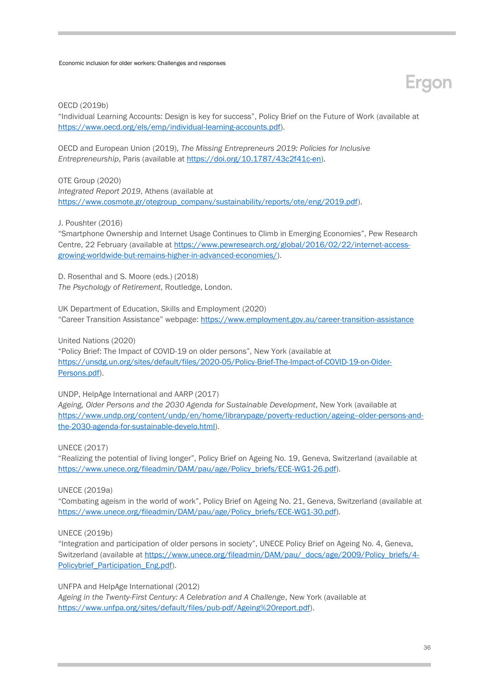#### OECD (2019b)

"Individual Learning Accounts: Design is key for success", Policy Brief on the Future of Work (available at [https://www.oecd.org/els/emp/individual-learning-accounts.pdf\)](https://www.oecd.org/els/emp/individual-learning-accounts.pdf).

OECD and European Union (2019), *The Missing Entrepreneurs 2019: Policies for Inclusive Entrepreneurship*, Paris (available at [https://doi.org/10.1787/43c2f41c-en\)](https://doi.org/10.1787/43c2f41c-en).

OTE Group (2020) *Integrated Report 2019*, Athens (available at [https://www.cosmote.gr/otegroup\\_company/sustainability/reports/ote/eng/2019.pdf\)](https://www.cosmote.gr/otegroup_company/sustainability/reports/ote/eng/2019.pdf).

J. Poushter (2016)

"Smartphone Ownership and Internet Usage Continues to Climb in Emerging Economies", Pew Research Centre, 22 February (available at [https://www.pewresearch.org/global/2016/02/22/internet-access](https://www.pewresearch.org/global/2016/02/22/internet-access-growing-worldwide-but-remains-higher-in-advanced-economies/)[growing-worldwide-but-remains-higher-in-advanced-economies/\)](https://www.pewresearch.org/global/2016/02/22/internet-access-growing-worldwide-but-remains-higher-in-advanced-economies/).

D. Rosenthal and S. Moore (eds.) (2018) *The Psychology of Retirement*, Routledge, London.

UK Department of Education, Skills and Employment (2020) "Career Transition Assistance" webpage: <https://www.employment.gov.au/career-transition-assistance>

United Nations (2020)

"Policy Brief: The Impact of COVID-19 on older persons", New York (available at [https://unsdg.un.org/sites/default/files/2020-05/Policy-Brief-The-Impact-of-COVID-19-on-Older-](https://unsdg.un.org/sites/default/files/2020-05/Policy-Brief-The-Impact-of-COVID-19-on-Older-Persons.pdf)[Persons.pdf\)](https://unsdg.un.org/sites/default/files/2020-05/Policy-Brief-The-Impact-of-COVID-19-on-Older-Persons.pdf).

UNDP, HelpAge International and AARP (2017)

*Ageing, Older Persons and the 2030 Agenda for Sustainable Development*, New York (available at [https://www.undp.org/content/undp/en/home/librarypage/poverty-reduction/ageing--older-persons-and](https://www.undp.org/content/undp/en/home/librarypage/poverty-reduction/ageing--older-persons-and-the-2030-agenda-for-sustainable-develo.html)[the-2030-agenda-for-sustainable-develo.html\)](https://www.undp.org/content/undp/en/home/librarypage/poverty-reduction/ageing--older-persons-and-the-2030-agenda-for-sustainable-develo.html).

UNECE (2017)

"Realizing the potential of living longer", Policy Brief on Ageing No. 19, Geneva, Switzerland (available at [https://www.unece.org/fileadmin/DAM/pau/age/Policy\\_briefs/ECE-WG1-26.pdf\)](https://www.unece.org/fileadmin/DAM/pau/age/Policy_briefs/ECE-WG1-26.pdf).

UNECE (2019a)

"Combating ageism in the world of work", Policy Brief on Ageing No. 21, Geneva, Switzerland (available at [https://www.unece.org/fileadmin/DAM/pau/age/Policy\\_briefs/ECE-WG1-30.pdf\)](https://www.unece.org/fileadmin/DAM/pau/age/Policy_briefs/ECE-WG1-30.pdf).

UNECE (2019b)

"Integration and participation of older persons in society", UNECE Policy Brief on Ageing No. 4, Geneva, Switzerland (available at [https://www.unece.org/fileadmin/DAM/pau/\\_docs/age/2009/Policy\\_briefs/4-](https://www.unece.org/fileadmin/DAM/pau/_docs/age/2009/Policy_briefs/4-Policybrief_Participation_Eng.pdf) [Policybrief\\_Participation\\_Eng.pdf\)](https://www.unece.org/fileadmin/DAM/pau/_docs/age/2009/Policy_briefs/4-Policybrief_Participation_Eng.pdf).

UNFPA and HelpAge International (2012) *Ageing in the Twenty-First Century: A Celebration and A Challenge*, New York (available at [https://www.unfpa.org/sites/default/files/pub-pdf/Ageing%20report.pdf\)](https://www.unfpa.org/sites/default/files/pub-pdf/Ageing%20report.pdf).

Ergon